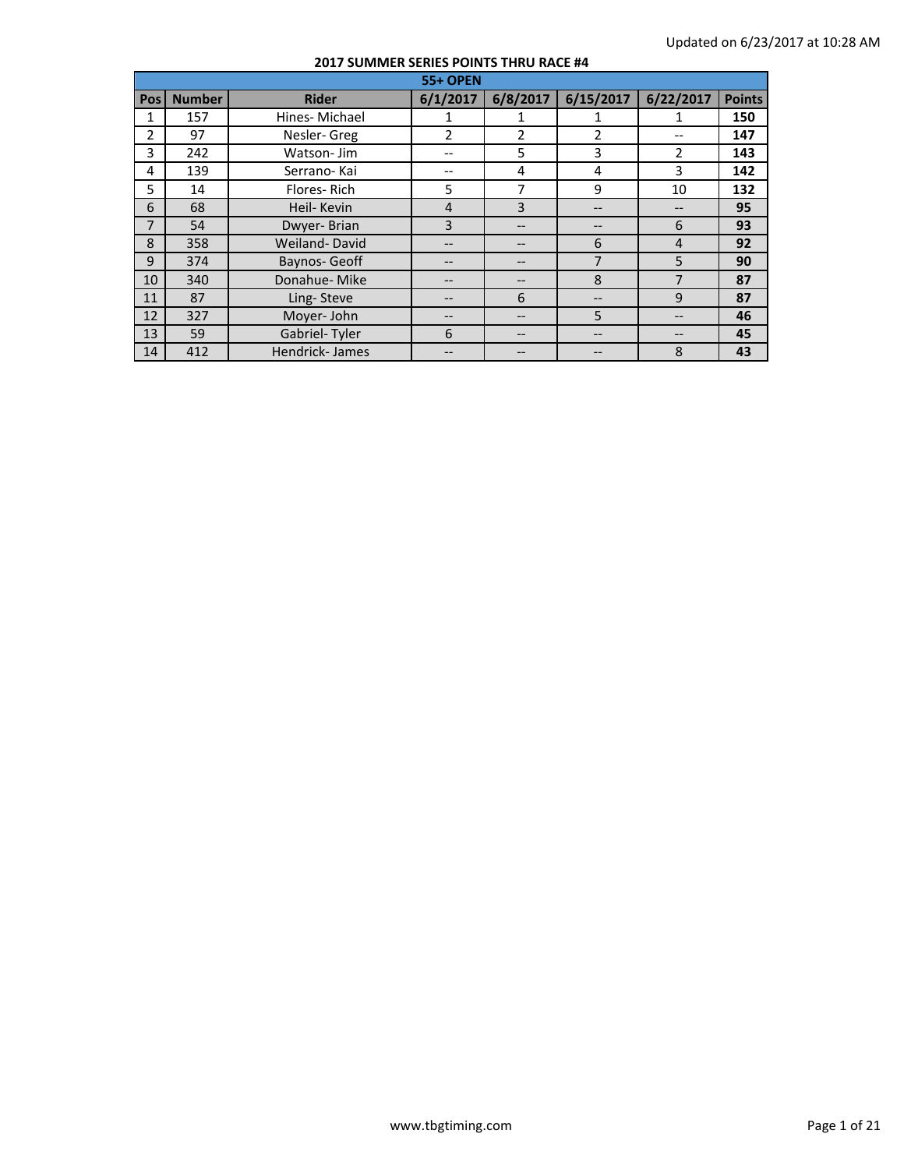|                | <b>55+ OPEN</b> |                       |                |          |                |                |               |  |  |
|----------------|-----------------|-----------------------|----------------|----------|----------------|----------------|---------------|--|--|
| <b>Pos</b>     | <b>Number</b>   | <b>Rider</b>          | 6/1/2017       | 6/8/2017 | 6/15/2017      | 6/22/2017      | <b>Points</b> |  |  |
| 1              | 157             | Hines-Michael         |                |          |                |                | 150           |  |  |
| $\overline{2}$ | 97              | Nesler-Greg           | $\overline{2}$ | 2        | 2              |                | 147           |  |  |
| 3              | 242             | Watson-Jim            |                | 5        | 3              | $\mathcal{P}$  | 143           |  |  |
| 4              | 139             | Serrano-Kai           |                | 4        | 4              | 3              | 142           |  |  |
| 5              | 14              | Flores-Rich           | 5              | 7        | 9              | 10             | 132           |  |  |
| 6              | 68              | Heil- Kevin           | 4              | 3        | --             |                | 95            |  |  |
| 7              | 54              | Dwyer-Brian           | 3              |          | --             | 6              | 93            |  |  |
| 8              | 358             | Weiland-David         | $- -$          |          | 6              | $\overline{4}$ | 92            |  |  |
| 9              | 374             | Baynos-Geoff          |                |          | $\overline{7}$ | 5              | 90            |  |  |
| 10             | 340             | Donahue-Mike          | --             |          | 8              | 7              | 87            |  |  |
| 11             | 87              | Ling-Steve            | $- -$          | 6        | --             | 9              | 87            |  |  |
| 12             | 327             | Moyer-John            |                |          | 5              |                | 46            |  |  |
| 13             | 59              | Gabriel-Tyler         | 6              |          | --             |                | 45            |  |  |
| 14             | 412             | <b>Hendrick-James</b> |                |          |                | 8              | 43            |  |  |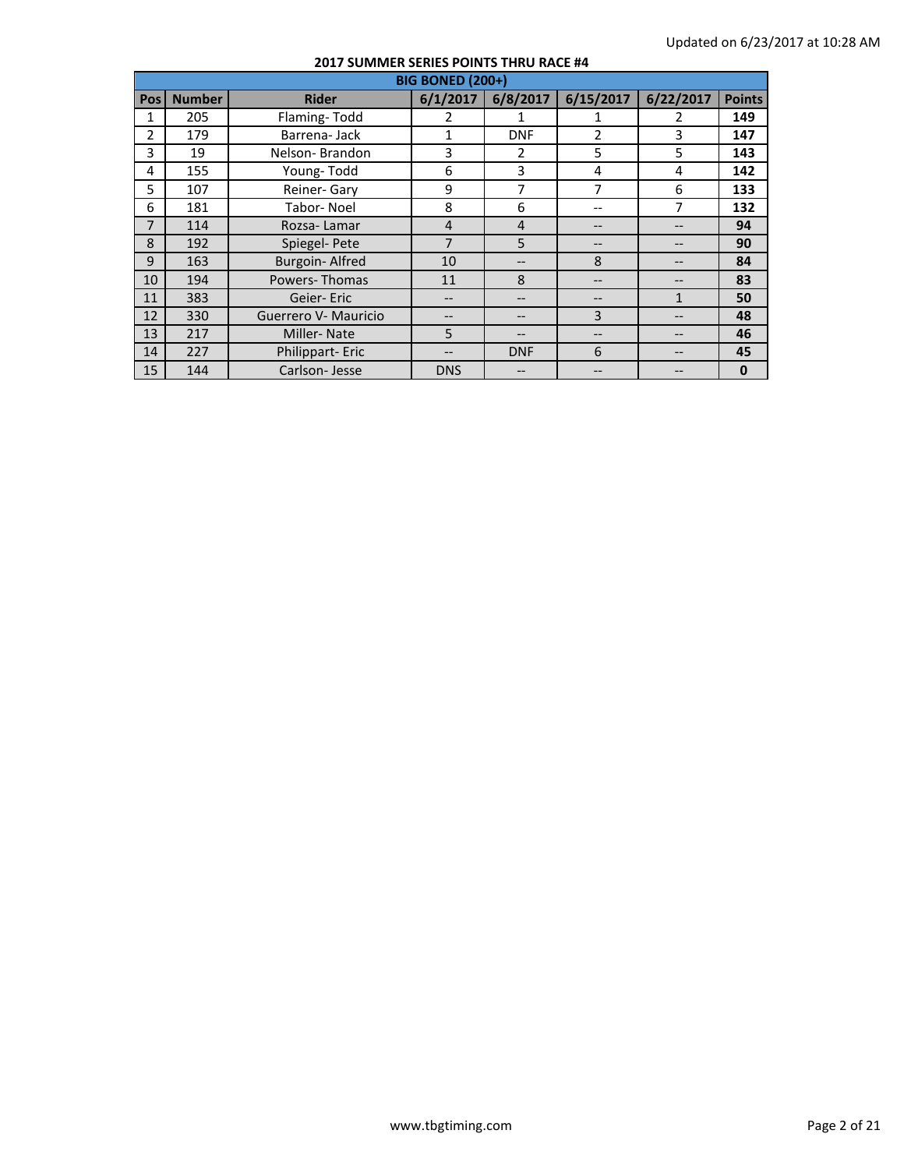|                | <b>BIG BONED (200+)</b> |                       |                |                |                |           |               |  |  |  |
|----------------|-------------------------|-----------------------|----------------|----------------|----------------|-----------|---------------|--|--|--|
| Pos l          | <b>Number</b>           | <b>Rider</b>          | 6/1/2017       | 6/8/2017       | 6/15/2017      | 6/22/2017 | <b>Points</b> |  |  |  |
| 1              | 205                     | Flaming-Todd          | 2              | 1              | 1              | 2         | 149           |  |  |  |
| $\overline{2}$ | 179                     | Barrena-Jack          | 1              | <b>DNF</b>     | $\overline{2}$ | 3         | 147           |  |  |  |
| 3              | 19                      | Nelson-Brandon        | 3              | 2              | 5              | 5         | 143           |  |  |  |
| 4              | 155                     | Young-Todd            | 6              | 3              | 4              | 4         | 142           |  |  |  |
| 5              | 107                     | Reiner- Gary          | 9              | $\overline{7}$ | 7              | 6         | 133           |  |  |  |
| 6              | 181                     | Tabor-Noel            | 8              | 6              | --             | 7         | 132           |  |  |  |
| 7              | 114                     | Rozsa-Lamar           | $\overline{4}$ | $\overline{4}$ |                |           | 94            |  |  |  |
| 8              | 192                     | Spiegel-Pete          | $\overline{7}$ | 5              |                |           | 90            |  |  |  |
| 9              | 163                     | <b>Burgoin-Alfred</b> | 10             |                | 8              |           | 84            |  |  |  |
| 10             | 194                     | Powers-Thomas         | 11             | 8              | --             |           | 83            |  |  |  |
| 11             | 383                     | Geier-Eric            |                |                |                | 1         | 50            |  |  |  |
| 12             | 330                     | Guerrero V- Mauricio  |                |                | 3              |           | 48            |  |  |  |
| 13             | 217                     | <b>Miller-Nate</b>    | 5              |                |                |           | 46            |  |  |  |
| 14             | 227                     | Philippart-Eric       |                | <b>DNF</b>     | 6              |           | 45            |  |  |  |
| 15             | 144                     | Carlson-Jesse         | <b>DNS</b>     |                |                |           | $\mathbf{0}$  |  |  |  |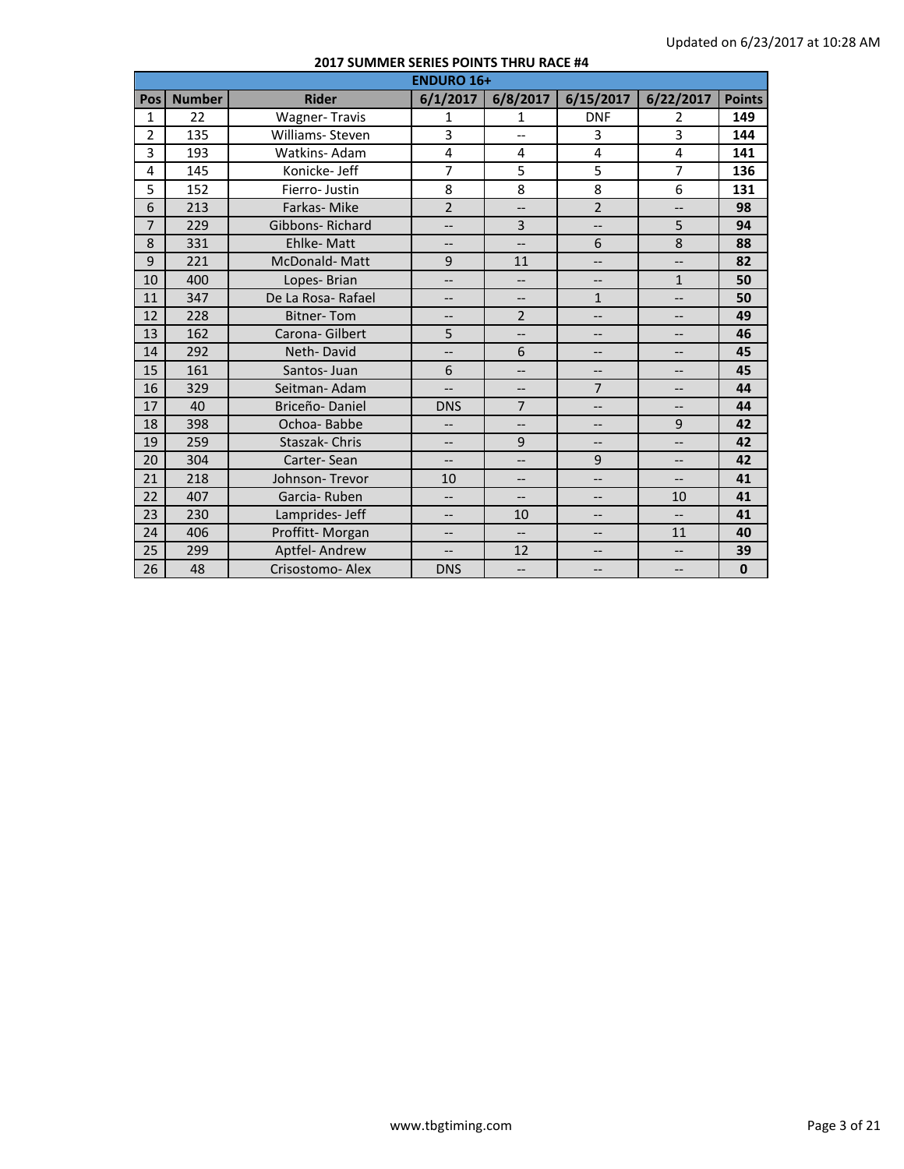|                | <b>ENDURO 16+</b> |                        |                          |                          |                          |                          |               |  |  |  |
|----------------|-------------------|------------------------|--------------------------|--------------------------|--------------------------|--------------------------|---------------|--|--|--|
| Pos            | <b>Number</b>     | <b>Rider</b>           | 6/1/2017                 | 6/8/2017                 | 6/15/2017                | 6/22/2017                | <b>Points</b> |  |  |  |
| 1              | 22                | <b>Wagner-Travis</b>   | $\mathbf{1}$             | 1                        | <b>DNF</b>               | 2                        | 149           |  |  |  |
| $\overline{2}$ | 135               | Williams- Steven       | 3                        | $\overline{\phantom{a}}$ | 3                        | 3                        | 144           |  |  |  |
| 3              | 193               | Watkins-Adam           | 4                        | $\overline{4}$           | 4                        | 4                        | 141           |  |  |  |
| 4              | 145               | Konicke- Jeff          | $\overline{7}$           | 5                        | 5                        | $\overline{7}$           | 136           |  |  |  |
| 5              | 152               | Fierro-Justin          | 8                        | 8                        | 8                        | 6                        | 131           |  |  |  |
| 6              | 213               | Farkas-Mike            | $\overline{2}$           | $\overline{a}$           | $\overline{2}$           | --                       | 98            |  |  |  |
| $\overline{7}$ | 229               | <b>Gibbons-Richard</b> | $-$                      | 3                        | $\overline{\phantom{a}}$ | 5                        | 94            |  |  |  |
| 8              | 331               | <b>Ehlke-Matt</b>      | $\overline{\phantom{a}}$ | $\overline{\phantom{a}}$ | 6                        | 8                        | 88            |  |  |  |
| 9              | 221               | McDonald-Matt          | 9                        | 11                       | $\overline{\phantom{a}}$ | $-$                      | 82            |  |  |  |
| 10             | 400               | Lopes-Brian            | $\overline{\phantom{a}}$ | $\overline{a}$           | $\overline{\phantom{a}}$ | $\mathbf{1}$             | 50            |  |  |  |
| 11             | 347               | De La Rosa-Rafael      | $\overline{\phantom{a}}$ | $\overline{\phantom{a}}$ | $\mathbf{1}$             | --                       | 50            |  |  |  |
| 12             | 228               | <b>Bitner-Tom</b>      | $-$                      | $\overline{2}$           | $\overline{\phantom{a}}$ | --                       | 49            |  |  |  |
| 13             | 162               | Carona- Gilbert        | 5                        | $\overline{a}$           | $\overline{\phantom{a}}$ | --                       | 46            |  |  |  |
| 14             | 292               | Neth-David             | $\overline{\phantom{a}}$ | 6                        | $\qquad \qquad -$        | $-$                      | 45            |  |  |  |
| 15             | 161               | Santos-Juan            | 6                        | $\overline{\phantom{a}}$ | $\overline{\phantom{a}}$ | $-$                      | 45            |  |  |  |
| 16             | 329               | Seitman-Adam           | $\overline{\phantom{a}}$ | $-$                      | $\overline{7}$           | --                       | 44            |  |  |  |
| 17             | 40                | Briceño-Daniel         | <b>DNS</b>               | $\overline{7}$           | $\overline{\phantom{a}}$ | $\overline{\phantom{a}}$ | 44            |  |  |  |
| 18             | 398               | Ochoa-Babbe            | $\overline{\phantom{0}}$ | $-$                      | $-$                      | 9                        | 42            |  |  |  |
| 19             | 259               | Staszak-Chris          | $---$                    | 9                        | $\overline{\phantom{a}}$ | --                       | 42            |  |  |  |
| 20             | 304               | Carter-Sean            | $\overline{\phantom{a}}$ | $\overline{\phantom{a}}$ | 9                        | --                       | 42            |  |  |  |
| 21             | 218               | Johnson-Trevor         | 10                       | $\overline{\phantom{a}}$ | $-$                      | $-$                      | 41            |  |  |  |
| 22             | 407               | Garcia-Ruben           | $\overline{\phantom{0}}$ | $\overline{\phantom{a}}$ | $\overline{\phantom{a}}$ | 10                       | 41            |  |  |  |
| 23             | 230               | Lamprides- Jeff        | $\overline{\phantom{a}}$ | 10                       | $-$                      | $\overline{\phantom{a}}$ | 41            |  |  |  |
| 24             | 406               | Proffitt-Morgan        | $---$                    | $-$                      | --                       | 11                       | 40            |  |  |  |
| 25             | 299               | Aptfel-Andrew          | $\overline{\phantom{a}}$ | 12                       | --                       | --                       | 39            |  |  |  |
| 26             | 48                | Crisostomo-Alex        | <b>DNS</b>               | $\overline{\phantom{a}}$ | $-$                      | --                       | $\mathbf 0$   |  |  |  |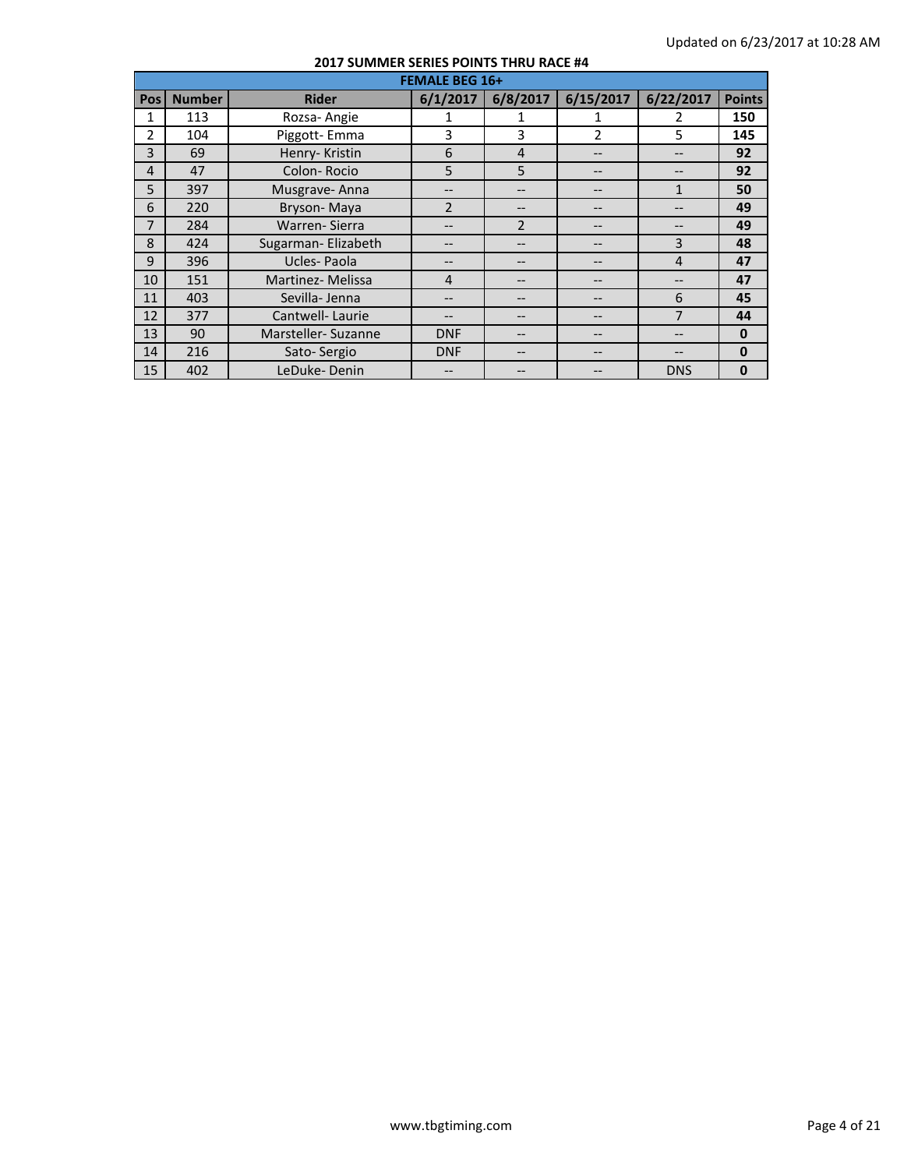|                | <b>FEMALE BEG 16+</b> |                     |                |                |                |                |               |  |  |  |
|----------------|-----------------------|---------------------|----------------|----------------|----------------|----------------|---------------|--|--|--|
| <b>Pos</b>     | <b>Number</b>         | <b>Rider</b>        | 6/1/2017       | 6/8/2017       | 6/15/2017      | 6/22/2017      | <b>Points</b> |  |  |  |
| 1              | 113                   | Rozsa-Angie         |                |                | 1              | 2              | 150           |  |  |  |
| $\mathfrak{p}$ | 104                   | Piggott-Emma        | 3              | 3              | $\overline{2}$ | 5              | 145           |  |  |  |
| 3              | 69                    | Henry-Kristin       | 6              | $\overline{4}$ |                | --             | 92            |  |  |  |
| $\overline{4}$ | 47                    | Colon-Rocio         | 5              | 5              |                |                | 92            |  |  |  |
| 5              | 397                   | Musgrave-Anna       | $- -$          |                | --             | $\mathbf{1}$   | 50            |  |  |  |
| 6              | 220                   | Bryson-Maya         | $\overline{2}$ |                |                |                | 49            |  |  |  |
| 7              | 284                   | Warren-Sierra       |                | $\overline{2}$ |                |                | 49            |  |  |  |
| 8              | 424                   | Sugarman- Elizabeth | --             |                |                | 3              | 48            |  |  |  |
| 9              | 396                   | Ucles-Paola         | --             |                | --             | $\overline{4}$ | 47            |  |  |  |
| 10             | 151                   | Martinez-Melissa    | 4              |                | --             | --             | 47            |  |  |  |
| 11             | 403                   | Sevilla-Jenna       |                |                |                | 6              | 45            |  |  |  |
| 12             | 377                   | Cantwell-Laurie     |                |                |                | 7              | 44            |  |  |  |
| 13             | 90                    | Marsteller-Suzanne  | <b>DNF</b>     |                |                |                | $\mathbf 0$   |  |  |  |
| 14             | 216                   | Sato-Sergio         | <b>DNF</b>     |                | --             |                | $\mathbf{0}$  |  |  |  |
| 15             | 402                   | LeDuke-Denin        |                |                |                | <b>DNS</b>     | $\mathbf 0$   |  |  |  |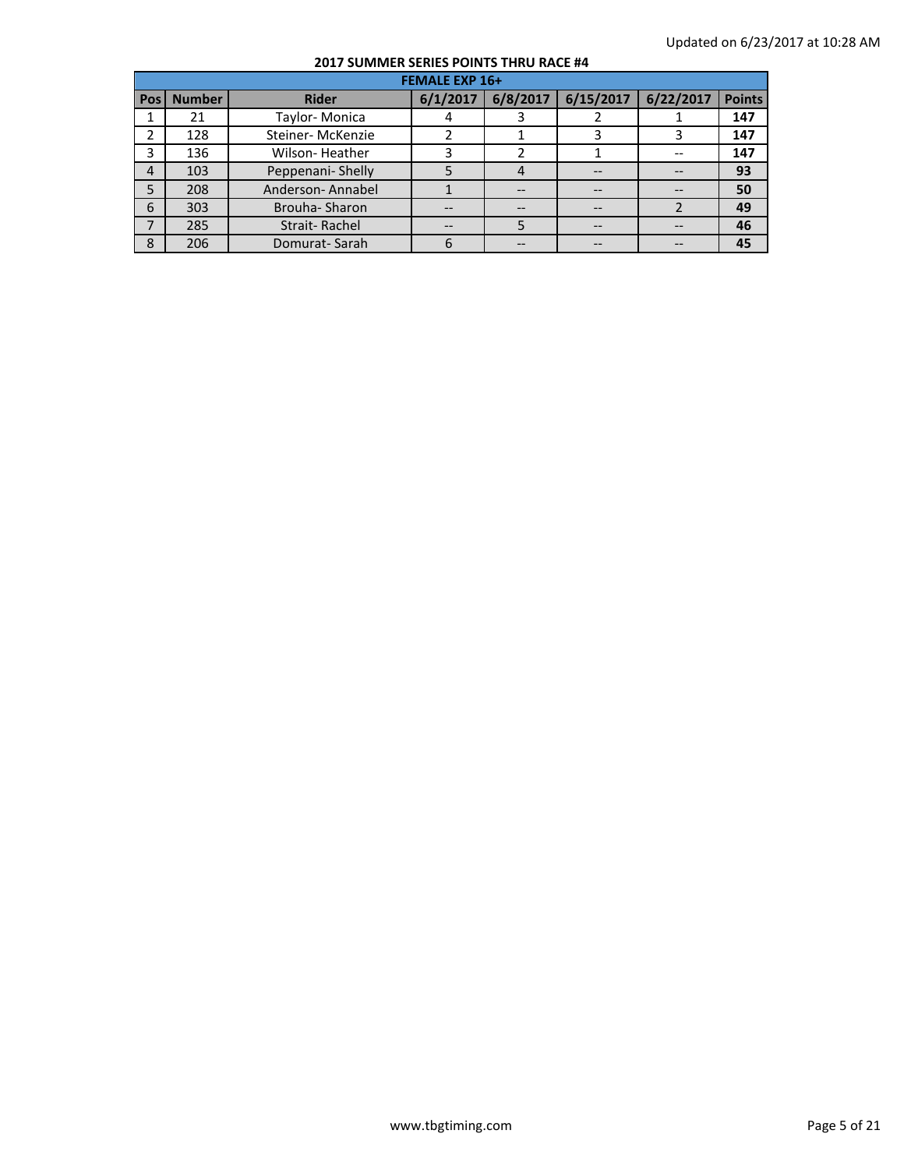|       | <b>FEMALE EXP 16+</b> |                       |          |          |           |           |               |  |  |  |
|-------|-----------------------|-----------------------|----------|----------|-----------|-----------|---------------|--|--|--|
| Pos l | <b>Number</b>         | <b>Rider</b>          | 6/1/2017 | 6/8/2017 | 6/15/2017 | 6/22/2017 | <b>Points</b> |  |  |  |
|       | 21                    | Taylor-Monica         |          |          |           |           | 147           |  |  |  |
| 2     | 128                   | Steiner-McKenzie      |          |          | 3         |           | 147           |  |  |  |
| 3     | 136                   | <b>Wilson-Heather</b> |          |          |           |           | 147           |  |  |  |
| 4     | 103                   | Peppenani-Shelly      |          | 4        |           |           | 93            |  |  |  |
| 5     | 208                   | Anderson-Annabel      |          |          | --        |           | 50            |  |  |  |
| 6     | 303                   | Brouha-Sharon         |          |          |           |           | 49            |  |  |  |
| 7     | 285                   | Strait-Rachel         |          |          | $-$       |           | 46            |  |  |  |
| 8     | 206                   | Domurat-Sarah         |          |          |           |           | 45            |  |  |  |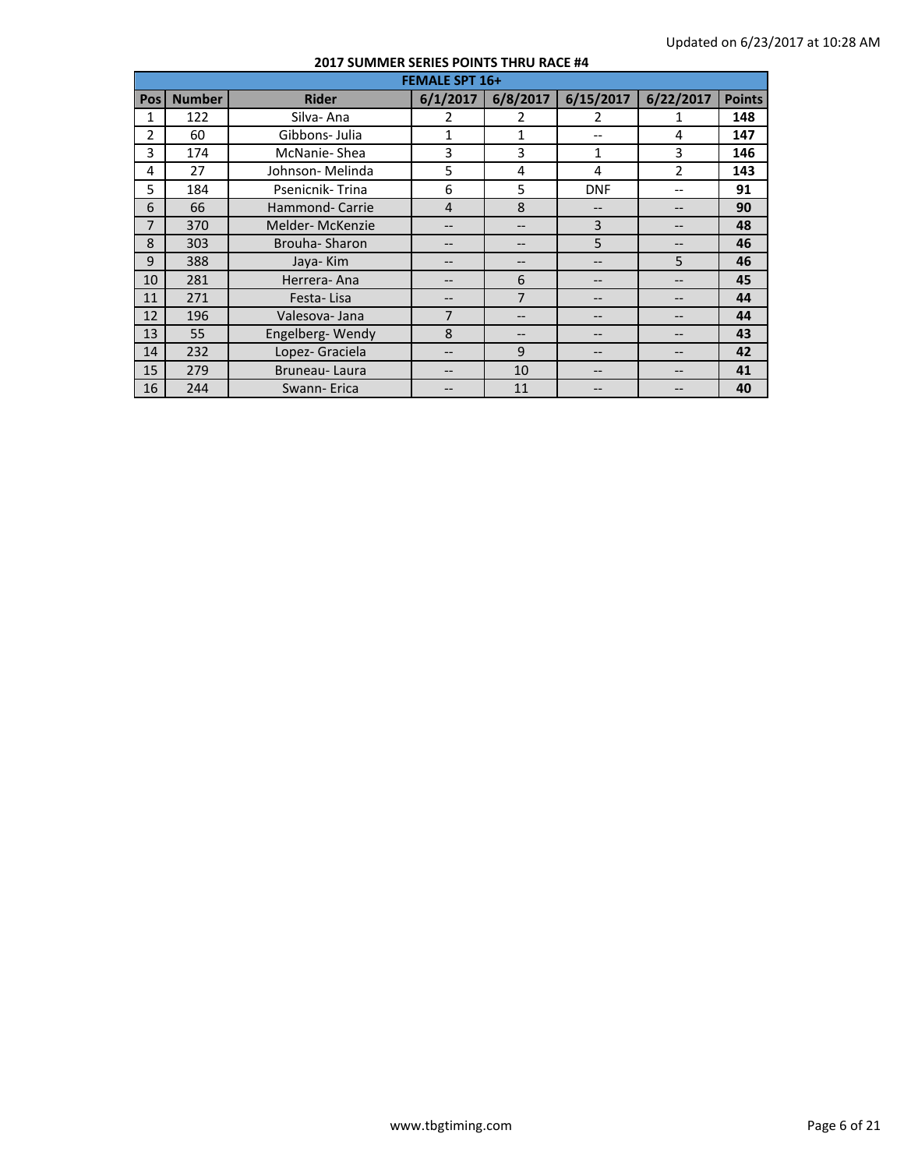|                | <b>FEMALE SPT 16+</b> |                  |                |                |                   |                |               |  |  |
|----------------|-----------------------|------------------|----------------|----------------|-------------------|----------------|---------------|--|--|
| Pos l          | <b>Number</b>         | <b>Rider</b>     | 6/1/2017       | 6/8/2017       | 6/15/2017         | 6/22/2017      | <b>Points</b> |  |  |
| 1              | 122                   | Silva-Ana        | 2              | 2              | 2                 |                | 148           |  |  |
| $\overline{2}$ | 60                    | Gibbons- Julia   | $\mathbf{1}$   | $\mathbf{1}$   | $- -$             | 4              | 147           |  |  |
| 3              | 174                   | McNanie-Shea     | 3              | 3              | $\mathbf{1}$      | 3              | 146           |  |  |
| 4              | 27                    | Johnson- Melinda | 5              | 4              | 4                 | $\overline{2}$ | 143           |  |  |
| 5              | 184                   | Psenicnik-Trina  | 6              | 5              | <b>DNF</b>        | --             | 91            |  |  |
| 6              | 66                    | Hammond- Carrie  | $\overline{4}$ | 8              | --                | --             | 90            |  |  |
| 7              | 370                   | Melder-McKenzie  | --             |                | 3                 |                | 48            |  |  |
| 8              | 303                   | Brouha-Sharon    |                |                | 5                 | --             | 46            |  |  |
| 9              | 388                   | Jaya-Kim         |                |                | --                | 5              | 46            |  |  |
| 10             | 281                   | Herrera-Ana      | --             | 6              | $- -$             | --             | 45            |  |  |
| 11             | 271                   | Festa-Lisa       |                | $\overline{7}$ | --                |                | 44            |  |  |
| 12             | 196                   | Valesova-Jana    | 7              |                | --                |                | 44            |  |  |
| 13             | 55                    | Engelberg-Wendy  | 8              |                | --                | --             | 43            |  |  |
| 14             | 232                   | Lopez- Graciela  |                | 9              | $\qquad \qquad -$ | --             | 42            |  |  |
| 15             | 279                   | Bruneau-Laura    | --             | 10             | --                | --             | 41            |  |  |
| 16             | 244                   | Swann-Erica      |                | 11             | --                |                | 40            |  |  |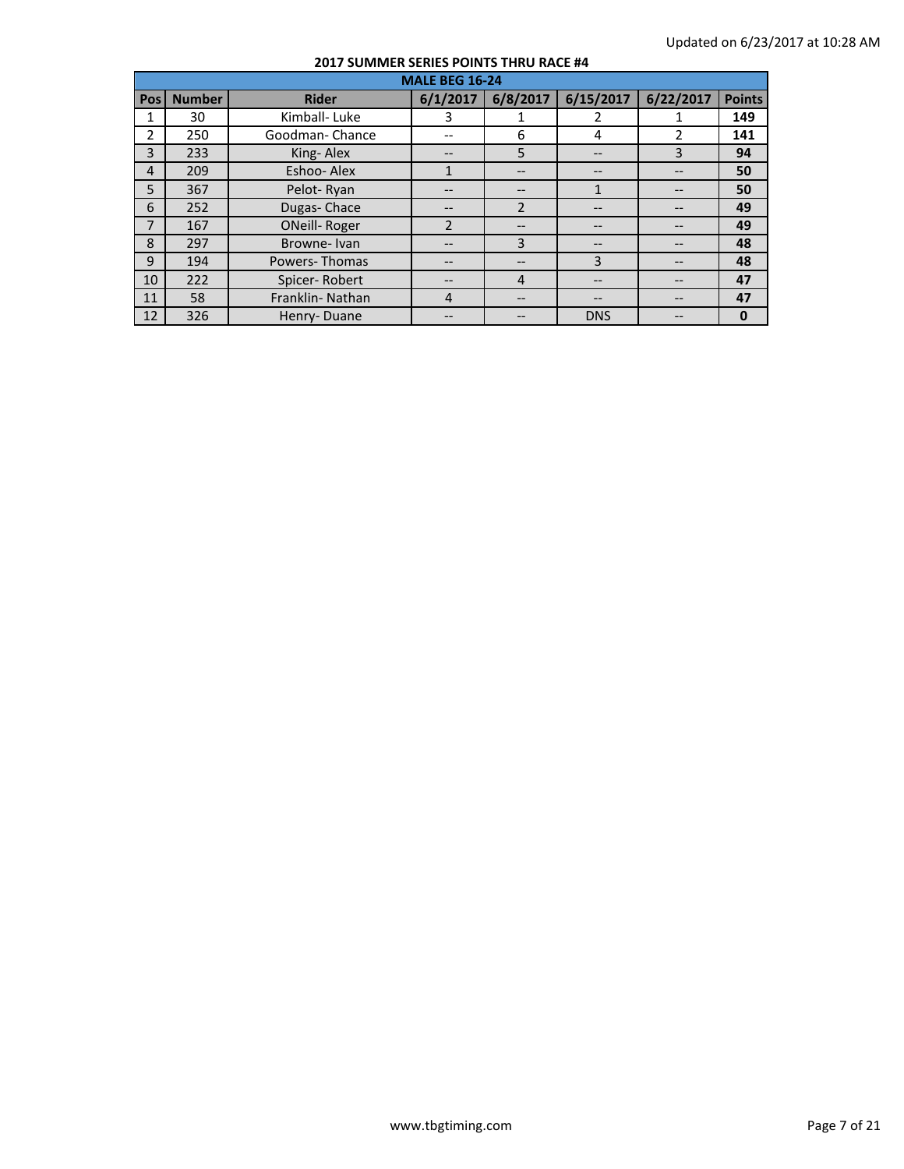|                | <b>MALE BEG 16-24</b> |                      |                |                |                |           |               |  |  |  |
|----------------|-----------------------|----------------------|----------------|----------------|----------------|-----------|---------------|--|--|--|
| Pos            | <b>Number</b>         | <b>Rider</b>         | 6/1/2017       | 6/8/2017       | 6/15/2017      | 6/22/2017 | <b>Points</b> |  |  |  |
| 1              | 30                    | Kimball-Luke         | 3              |                | 2              |           | 149           |  |  |  |
| $\overline{2}$ | 250                   | Goodman-Chance       |                | 6              | 4              | 2         | 141           |  |  |  |
| $\overline{3}$ | 233                   | King-Alex            |                | 5              | --             | 3         | 94            |  |  |  |
| $\overline{4}$ | 209                   | Eshoo-Alex           |                |                |                |           | 50            |  |  |  |
| 5              | 367                   | Pelot-Ryan           | --             | --             | 1              |           | 50            |  |  |  |
| 6              | 252                   | Dugas-Chace          |                | $\overline{2}$ |                |           | 49            |  |  |  |
| $\overline{7}$ | 167                   | <b>ONeill-Roger</b>  | $\overline{2}$ |                |                |           | 49            |  |  |  |
| 8              | 297                   | Browne-Ivan          |                | 3              | --             |           | 48            |  |  |  |
| 9              | 194                   | <b>Powers-Thomas</b> |                |                | $\overline{3}$ |           | 48            |  |  |  |
| 10             | 222                   | Spicer-Robert        |                | $\overline{4}$ |                |           | 47            |  |  |  |
| 11             | 58                    | Franklin-Nathan      | 4              |                | --             |           | 47            |  |  |  |
| 12             | 326                   | Henry-Duane          |                |                | <b>DNS</b>     |           | $\bf{0}$      |  |  |  |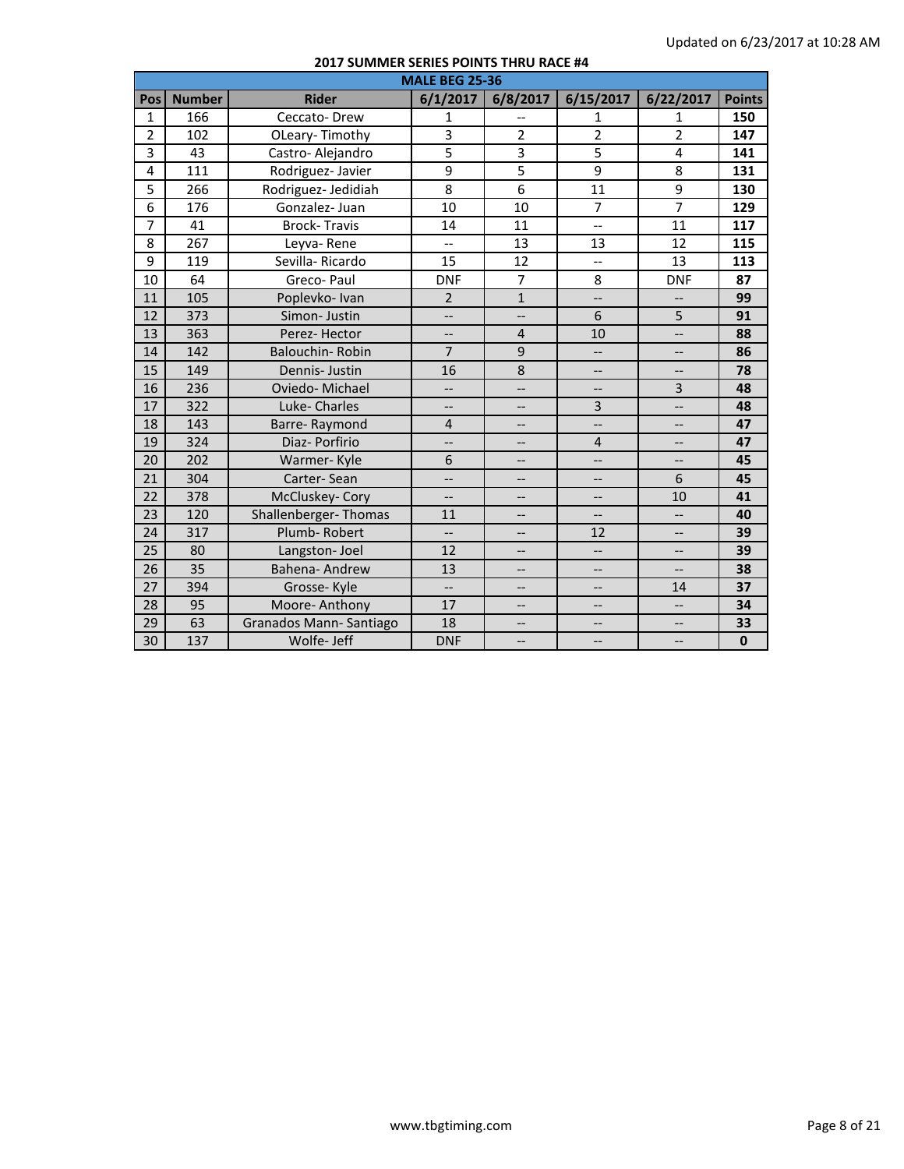|                | <b>MALE BEG 25-36</b> |                        |                          |                          |                          |                          |               |  |  |
|----------------|-----------------------|------------------------|--------------------------|--------------------------|--------------------------|--------------------------|---------------|--|--|
| Pos            | <b>Number</b>         | <b>Rider</b>           | 6/1/2017                 | 6/8/2017                 | 6/15/2017                | 6/22/2017                | <b>Points</b> |  |  |
| $\mathbf{1}$   | 166                   | Ceccato-Drew           | 1                        |                          | $\mathbf{1}$             | 1                        | 150           |  |  |
| $\overline{2}$ | 102                   | OLeary-Timothy         | $\overline{3}$           | $\overline{2}$           | $\overline{2}$           | $\overline{2}$           | 147           |  |  |
| 3              | 43                    | Castro-Alejandro       | $\overline{5}$           | $\overline{3}$           | $\overline{5}$           | 4                        | 141           |  |  |
| 4              | 111                   | Rodriguez-Javier       | $\overline{9}$           | 5                        | 9                        | 8                        | 131           |  |  |
| 5              | 266                   | Rodriguez- Jedidiah    | 8                        | 6                        | 11                       | 9                        | 130           |  |  |
| 6              | 176                   | Gonzalez-Juan          | 10                       | 10                       | $\overline{7}$           | $\overline{7}$           | 129           |  |  |
| $\overline{7}$ | 41                    | <b>Brock-Travis</b>    | 14                       | 11                       | <u></u>                  | 11                       | 117           |  |  |
| 8              | 267                   | Leyva-Rene             | $-$                      | 13                       | 13                       | 12                       | 115           |  |  |
| 9              | 119                   | Sevilla-Ricardo        | 15                       | 12                       | $\overline{\phantom{a}}$ | 13                       | 113           |  |  |
| 10             | 64                    | Greco-Paul             | <b>DNF</b>               | $\overline{7}$           | 8                        | <b>DNF</b>               | 87            |  |  |
| 11             | 105                   | Poplevko-Ivan          | $\overline{2}$           | $\mathbf 1$              | $\overline{\phantom{0}}$ | --                       | 99            |  |  |
| 12             | 373                   | Simon-Justin           | $\overline{\phantom{a}}$ | $\overline{\phantom{a}}$ | 6                        | 5                        | 91            |  |  |
| 13             | 363                   | Perez-Hector           | $-$                      | $\overline{4}$           | 10                       | --                       | 88            |  |  |
| 14             | 142                   | Balouchin-Robin        | $\overline{7}$           | 9                        | $\overline{\phantom{a}}$ | $-$                      | 86            |  |  |
| 15             | 149                   | Dennis- Justin         | 16                       | 8                        | $\overline{\phantom{a}}$ | $\overline{\phantom{a}}$ | 78            |  |  |
| 16             | 236                   | Oviedo-Michael         | --                       | --                       | --                       | 3                        | 48            |  |  |
| 17             | 322                   | Luke-Charles           | $\overline{\phantom{a}}$ | $-$                      | $\overline{3}$           | --                       | 48            |  |  |
| 18             | 143                   | Barre-Raymond          | $\overline{4}$           | $-$                      | $\overline{\phantom{a}}$ | $\overline{\phantom{a}}$ | 47            |  |  |
| 19             | 324                   | Diaz- Porfirio         | --                       | --                       | 4                        | --                       | 47            |  |  |
| 20             | 202                   | Warmer-Kyle            | 6                        | $-$                      | $\overline{\phantom{a}}$ | --                       | 45            |  |  |
| 21             | 304                   | Carter-Sean            | $\overline{\phantom{a}}$ | $-$                      | $\overline{\phantom{a}}$ | 6                        | 45            |  |  |
| 22             | 378                   | McCluskey-Cory         | $-$                      | $-$                      |                          | 10                       | 41            |  |  |
| 23             | 120                   | Shallenberger-Thomas   | 11                       | $\overline{\phantom{a}}$ | --                       | $\overline{\phantom{a}}$ | 40            |  |  |
| 24             | 317                   | Plumb-Robert           | $\overline{\phantom{a}}$ | $\overline{\phantom{m}}$ | 12                       | --                       | 39            |  |  |
| 25             | 80                    | Langston-Joel          | 12                       | --                       | $\overline{\phantom{a}}$ | --                       | 39            |  |  |
| 26             | $\overline{35}$       | Bahena-Andrew          | 13                       | <u></u>                  | <u></u>                  | --                       | 38            |  |  |
| 27             | 394                   | Grosse-Kyle            | $\overline{\phantom{a}}$ | $\overline{\phantom{a}}$ | $\overline{\phantom{a}}$ | 14                       | 37            |  |  |
| 28             | 95                    | Moore-Anthony          | 17                       |                          | $-$                      | $\overline{\phantom{a}}$ | 34            |  |  |
| 29             | 63                    | Granados Mann-Santiago | 18                       | $\overline{\phantom{a}}$ | $\overline{\phantom{0}}$ | $\overline{\phantom{a}}$ | 33            |  |  |
| 30             | 137                   | Wolfe- Jeff            | <b>DNF</b>               | $\overline{\phantom{a}}$ | $\overline{\phantom{a}}$ | --                       | $\mathbf{0}$  |  |  |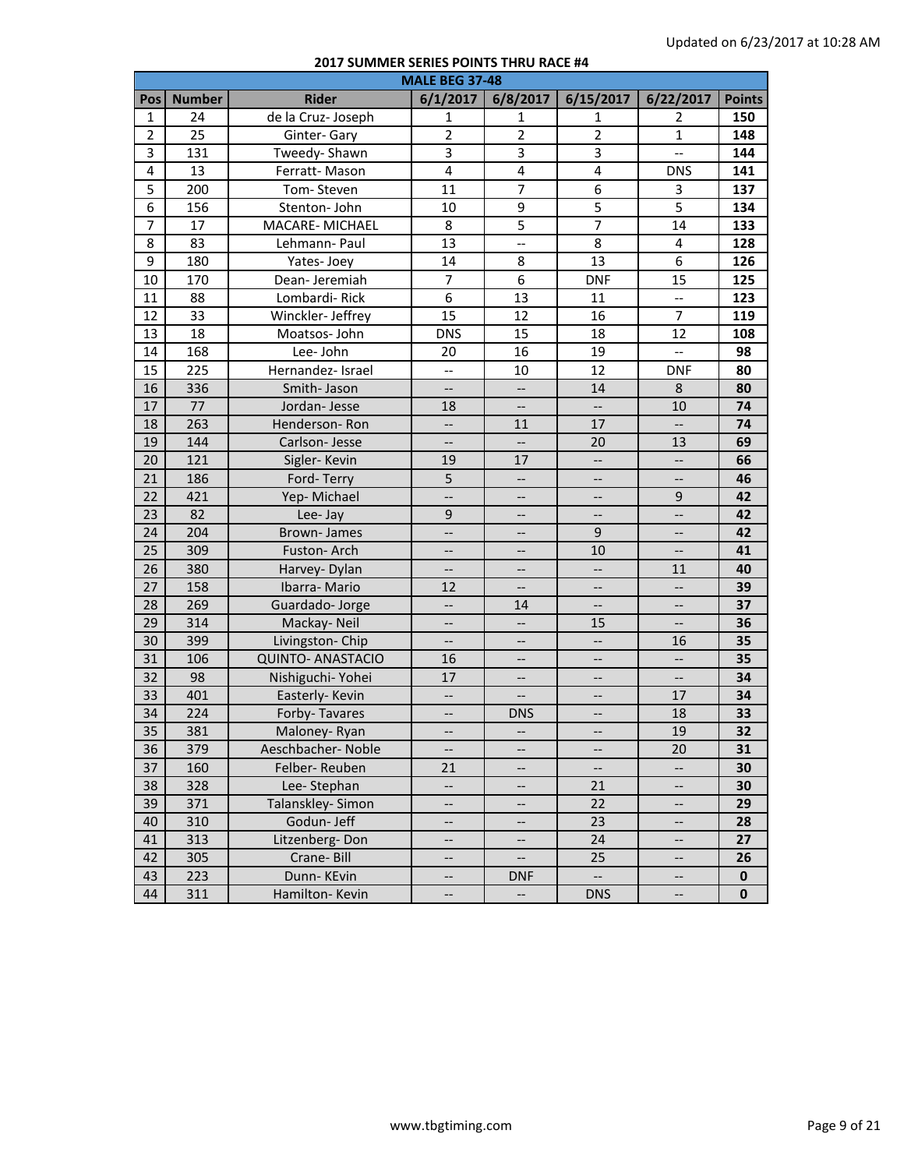|                |               |                          | <b>MALE BEG 37-48</b>    |                          |                          |                          |               |
|----------------|---------------|--------------------------|--------------------------|--------------------------|--------------------------|--------------------------|---------------|
| Pos            | <b>Number</b> | <b>Rider</b>             | 6/1/2017                 | 6/8/2017                 | 6/15/2017                | 6/22/2017                | <b>Points</b> |
| 1              | 24            | de la Cruz-Joseph        | $\mathbf{1}$             | 1                        | 1                        | 2                        | 150           |
| $\overline{2}$ | 25            | Ginter-Gary              | $\overline{2}$           | $\overline{2}$           | $\overline{2}$           | $\mathbf{1}$             | 148           |
| 3              | 131           | Tweedy-Shawn             | $\overline{3}$           | 3                        | 3                        | $\overline{\phantom{a}}$ | 144           |
| 4              | 13            | Ferratt-Mason            | $\overline{4}$           | $\overline{\mathbf{4}}$  | $\overline{\mathbf{4}}$  | <b>DNS</b>               | 141           |
| 5              | 200           | Tom-Steven               | 11                       | $\overline{7}$           | 6                        | 3                        | 137           |
| $\overline{6}$ | 156           | Stenton- John            | 10                       | $\overline{9}$           | $\overline{5}$           | $\overline{5}$           | 134           |
| $\overline{7}$ | 17            | MACARE-MICHAEL           | 8                        | $\overline{5}$           | $\overline{7}$           | 14                       | 133           |
| 8              | 83            | Lehmann-Paul             | 13                       | $\overline{a}$           | 8                        | 4                        | 128           |
| 9              | 180           | Yates-Joey               | 14                       | 8                        | 13                       | 6                        | 126           |
| 10             | 170           | Dean-Jeremiah            | $\overline{7}$           | $\boldsymbol{6}$         | <b>DNF</b>               | 15                       | 125           |
| 11             | 88            | Lombardi-Rick            | $\overline{6}$           | 13                       | 11                       | $\overline{\phantom{a}}$ | 123           |
| 12             | 33            | Winckler-Jeffrey         | 15                       | 12                       | 16                       | $\overline{7}$           | 119           |
| 13             | 18            | Moatsos-John             | <b>DNS</b>               | 15                       | 18                       | 12                       | 108           |
| 14             | 168           | Lee-John                 | 20                       | 16                       | 19                       | $\overline{\phantom{a}}$ | 98            |
| 15             | 225           | Hernandez- Israel        | $\overline{\phantom{a}}$ | 10                       | 12                       | <b>DNF</b>               | 80            |
| 16             | 336           | Smith-Jason              | --                       | $\overline{\phantom{a}}$ | 14                       | 8                        | 80            |
| 17             | 77            | Jordan-Jesse             | 18                       | $\overline{\phantom{a}}$ | $\overline{\phantom{a}}$ | 10                       | 74            |
| 18             | 263           | Henderson-Ron            | $\overline{\phantom{a}}$ | 11                       | 17                       | $\overline{\phantom{a}}$ | 74            |
| 19             | 144           | Carlson-Jesse            | $\overline{\phantom{a}}$ | $\overline{\phantom{a}}$ | 20                       | 13                       | 69            |
| 20             | 121           | Sigler-Kevin             | 19                       | 17                       | $\overline{\phantom{a}}$ | $\overline{\phantom{a}}$ | 66            |
| 21             | 186           | Ford-Terry               | 5                        | $\overline{\phantom{a}}$ | --                       | $\overline{\phantom{a}}$ | 46            |
| 22             | 421           | Yep-Michael              | $\overline{\phantom{a}}$ | $\overline{\phantom{a}}$ | $\overline{\phantom{a}}$ | 9                        | 42            |
| 23             | 82            | Lee-Jay                  | $\mathsf g$              | <u></u>                  | $\overline{\phantom{a}}$ | ш.,                      | 42            |
| 24             | 204           | Brown-James              | --                       | $\overline{\phantom{a}}$ | $\overline{9}$           | $\overline{\phantom{a}}$ | 42            |
| 25             | 309           | Fuston-Arch              | $\overline{\phantom{a}}$ | $\overline{\phantom{a}}$ | 10                       | --                       | 41            |
| 26             | 380           | Harvey- Dylan            | $\overline{\phantom{a}}$ | $\overline{\phantom{a}}$ | $\overline{\phantom{a}}$ | 11                       | 40            |
| 27             | 158           | Ibarra-Mario             | 12                       | $\overline{\phantom{a}}$ | --                       | $\qquad \qquad -$        | 39            |
| 28             | 269           | Guardado-Jorge           | $\overline{\phantom{a}}$ | 14                       | $\overline{\phantom{a}}$ | $\overline{\phantom{a}}$ | 37            |
| 29             | 314           | Mackay-Neil              | $\overline{\phantom{a}}$ | $\overline{\phantom{a}}$ | 15                       | $\overline{\phantom{a}}$ | 36            |
| 30             | 399           | Livingston- Chip         | $\qquad \qquad -$        | $\overline{\phantom{a}}$ | $\overline{\phantom{a}}$ | 16                       | 35            |
| 31             | 106           | <b>QUINTO- ANASTACIO</b> | 16                       | $\overline{\phantom{a}}$ | $\overline{\phantom{a}}$ | $\overline{\phantom{a}}$ | 35            |
| 32             | 98            | Nishiguchi- Yohei        | 17                       | $\overline{\phantom{a}}$ | $\overline{\phantom{a}}$ | --                       | 34            |
| 33             | 401           | Easterly- Kevin          | $\overline{\phantom{a}}$ | --                       | --                       | 17                       | 34            |
| 34             | 224           | Forby-Tavares            | $\overline{\phantom{a}}$ | <b>DNS</b>               | --                       | 18                       | 33            |
| 35             | 381           | Maloney-Ryan             | $\qquad \qquad -$        | $\overline{\phantom{a}}$ | $\qquad \qquad -$        | 19                       | 32            |
| 36             | 379           | Aeschbacher-Noble        | --                       | --                       | --                       | 20                       | 31            |
| 37             | 160           | Felber-Reuben            | 21                       | --                       | --                       | --                       | 30            |
| 38             | 328           | Lee-Stephan              | $\overline{\phantom{a}}$ | $-$                      | 21                       | --                       | 30            |
| 39             | 371           | Talanskley- Simon        | --                       | $\overline{\phantom{a}}$ | 22                       | --                       | 29            |
| 40             | 310           | Godun- Jeff              | --                       | $\overline{\phantom{a}}$ | 23                       | --                       | 28            |
| 41             | 313           | Litzenberg-Don           | --                       | $\overline{\phantom{a}}$ | 24                       | --                       | 27            |
| 42             | 305           | Crane-Bill               | --                       | $\overline{\phantom{a}}$ | 25                       | $-\!$                    | 26            |
| 43             | 223           | Dunn-KEvin               | --                       | <b>DNF</b>               | $\overline{\phantom{a}}$ | --                       | 0             |
| 44             | 311           | Hamilton-Kevin           | --                       | $\overline{\phantom{a}}$ | <b>DNS</b>               | --                       | 0             |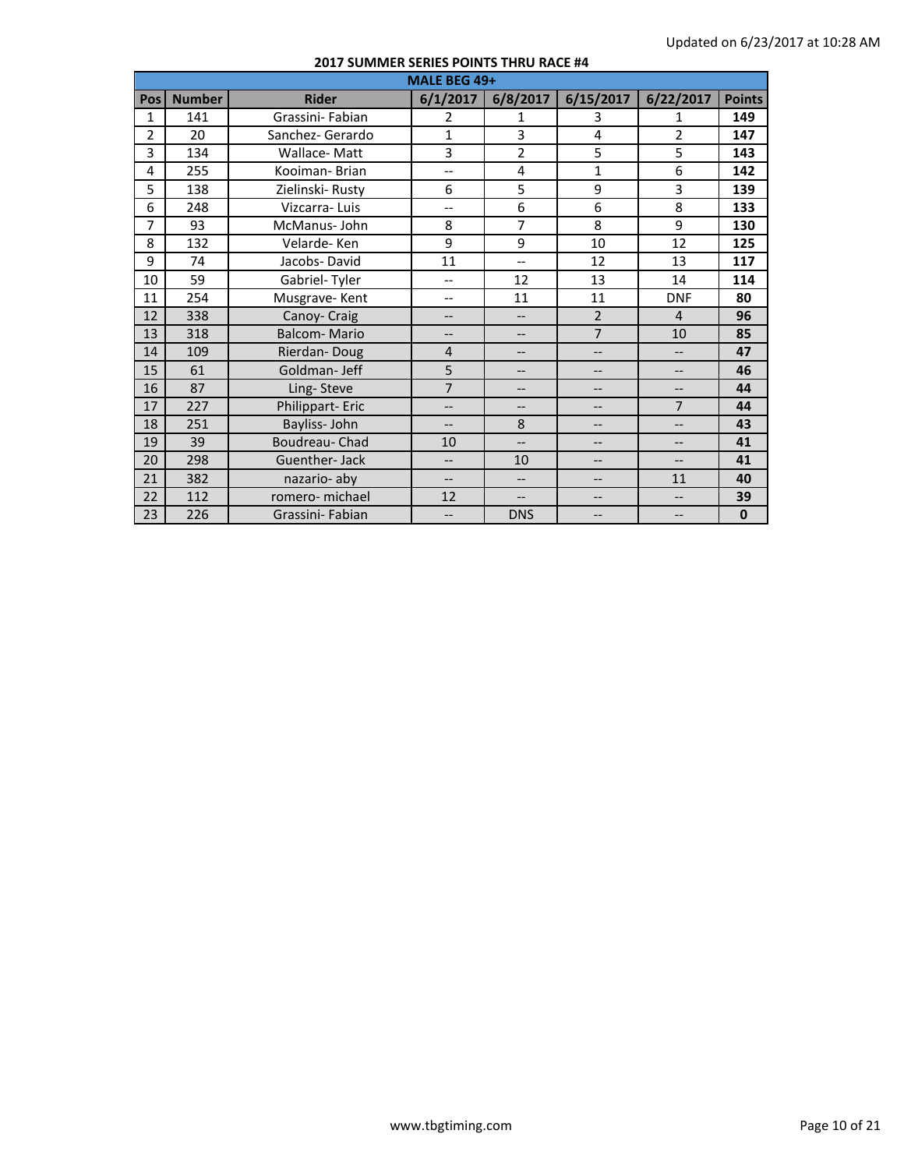|                | MALE BEG 49+  |                     |                          |                          |                          |                          |               |  |  |  |
|----------------|---------------|---------------------|--------------------------|--------------------------|--------------------------|--------------------------|---------------|--|--|--|
| Pos            | <b>Number</b> | <b>Rider</b>        | 6/1/2017                 | 6/8/2017                 | 6/15/2017                | 6/22/2017                | <b>Points</b> |  |  |  |
| 1              | 141           | Grassini- Fabian    | $\overline{2}$           | 1                        | 3                        | 1                        | 149           |  |  |  |
| $\overline{2}$ | 20            | Sanchez- Gerardo    | $\mathbf{1}$             | 3                        | 4                        | $\overline{2}$           | 147           |  |  |  |
| 3              | 134           | Wallace-Matt        | 3                        | $\overline{2}$           | 5                        | 5                        | 143           |  |  |  |
| 4              | 255           | Kooiman-Brian       | $\qquad \qquad -$        | 4                        | $\mathbf{1}$             | 6                        | 142           |  |  |  |
| 5              | 138           | Zielinski-Rusty     | 6                        | 5                        | 9                        | 3                        | 139           |  |  |  |
| 6              | 248           | Vizcarra-Luis       | $-$                      | 6                        | 6                        | 8                        | 133           |  |  |  |
| 7              | 93            | McManus-John        | 8                        | $\overline{7}$           | 8                        | 9                        | 130           |  |  |  |
| 8              | 132           | Velarde-Ken         | 9                        | 9                        | 10                       | 12                       | 125           |  |  |  |
| 9              | 74            | Jacobs-David        | 11                       | $\overline{\phantom{0}}$ | 12                       | 13                       | 117           |  |  |  |
| 10             | 59            | Gabriel-Tyler       | $\qquad \qquad -$        | 12                       | 13                       | 14                       | 114           |  |  |  |
| 11             | 254           | Musgrave-Kent       | $- -$                    | 11                       | 11                       | <b>DNF</b>               | 80            |  |  |  |
| 12             | 338           | Canoy- Craig        | $\qquad \qquad -$        | $-$                      | $\overline{2}$           | $\overline{4}$           | 96            |  |  |  |
| 13             | 318           | <b>Balcom-Mario</b> | $--$                     | $-$                      | $\overline{7}$           | 10                       | 85            |  |  |  |
| 14             | 109           | Rierdan-Doug        | $\overline{4}$           | $\qquad \qquad -$        | --                       | --                       | 47            |  |  |  |
| 15             | 61            | Goldman-Jeff        | 5                        | $\qquad \qquad -$        | $\overline{\phantom{a}}$ | $\overline{\phantom{a}}$ | 46            |  |  |  |
| 16             | 87            | Ling-Steve          | $\overline{7}$           | $\qquad \qquad -$        | --                       | --                       | 44            |  |  |  |
| 17             | 227           | Philippart-Eric     | $---$                    | $---$                    | --                       | $\overline{7}$           | 44            |  |  |  |
| 18             | 251           | Bayliss-John        | $---$                    | 8                        | --                       | --                       | 43            |  |  |  |
| 19             | 39            | Boudreau- Chad      | 10                       | $\overline{\phantom{a}}$ | --                       | --                       | 41            |  |  |  |
| 20             | 298           | Guenther-Jack       | $\overline{\phantom{a}}$ | 10                       | --                       | --                       | 41            |  |  |  |
| 21             | 382           | nazario- aby        | $---$                    | $\overline{\phantom{a}}$ | --                       | 11                       | 40            |  |  |  |
| 22             | 112           | romero- michael     | 12                       | $-$                      | --                       | --                       | 39            |  |  |  |
| 23             | 226           | Grassini- Fabian    | $\overline{\phantom{a}}$ | <b>DNS</b>               | $\qquad \qquad -$        | --                       | $\mathbf{0}$  |  |  |  |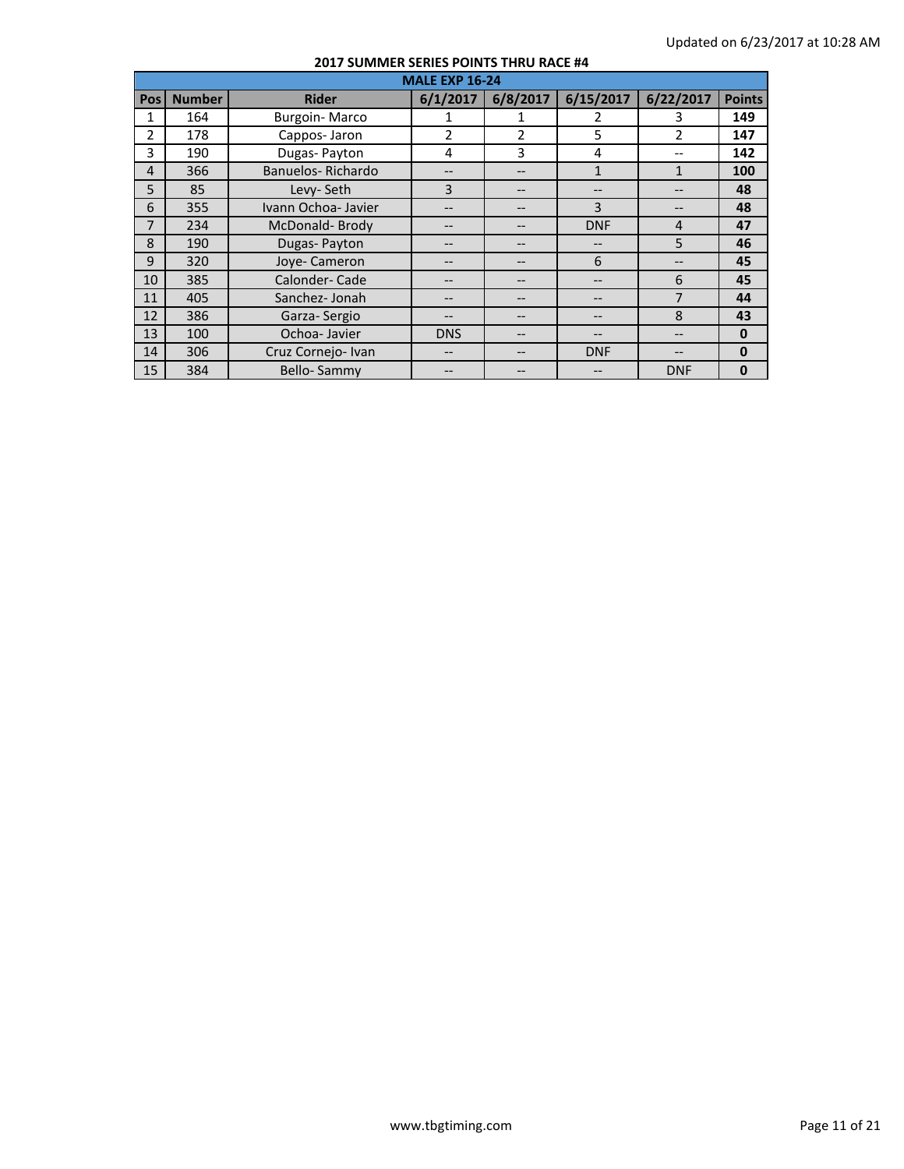|                | <b>MALE EXP 16-24</b> |                      |               |                |              |                          |               |  |  |  |
|----------------|-----------------------|----------------------|---------------|----------------|--------------|--------------------------|---------------|--|--|--|
| <b>Pos</b>     | <b>Number</b>         | <b>Rider</b>         | 6/1/2017      | 6/8/2017       | 6/15/2017    | 6/22/2017                | <b>Points</b> |  |  |  |
| 1              | 164                   | <b>Burgoin-Marco</b> |               | 1              | 2            | 3                        | 149           |  |  |  |
| $\mathfrak{p}$ | 178                   | Cappos-Jaron         | $\mathcal{P}$ | $\overline{2}$ | 5            | $\overline{\phantom{a}}$ | 147           |  |  |  |
| 3              | 190                   | Dugas-Payton         | 4             | 3              | 4            | --                       | 142           |  |  |  |
| $\overline{4}$ | 366                   | Banuelos-Richardo    |               |                | $\mathbf{1}$ | 1                        | 100           |  |  |  |
| 5              | 85                    | Levy-Seth            | 3             |                | $- -$        |                          | 48            |  |  |  |
| 6              | 355                   | Ivann Ochoa- Javier  |               |                | 3            |                          | 48            |  |  |  |
| 7              | 234                   | McDonald-Brody       |               |                | <b>DNF</b>   | $\overline{4}$           | 47            |  |  |  |
| 8              | 190                   | Dugas-Payton         |               |                |              | 5                        | 46            |  |  |  |
| 9              | 320                   | Joye- Cameron        | --            |                | 6            | --                       | 45            |  |  |  |
| 10             | 385                   | Calonder-Cade        | --            |                | $- -$        | 6                        | 45            |  |  |  |
| 11             | 405                   | Sanchez- Jonah       |               |                |              | 7                        | 44            |  |  |  |
| 12             | 386                   | Garza-Sergio         |               |                |              | 8                        | 43            |  |  |  |
| 13             | 100                   | Ochoa-Javier         | <b>DNS</b>    |                | --           |                          | $\mathbf{0}$  |  |  |  |
| 14             | 306                   | Cruz Cornejo- Ivan   | --            |                | <b>DNF</b>   |                          | $\mathbf{0}$  |  |  |  |
| 15             | 384                   | Bello-Sammy          |               |                |              | <b>DNF</b>               | $\mathbf 0$   |  |  |  |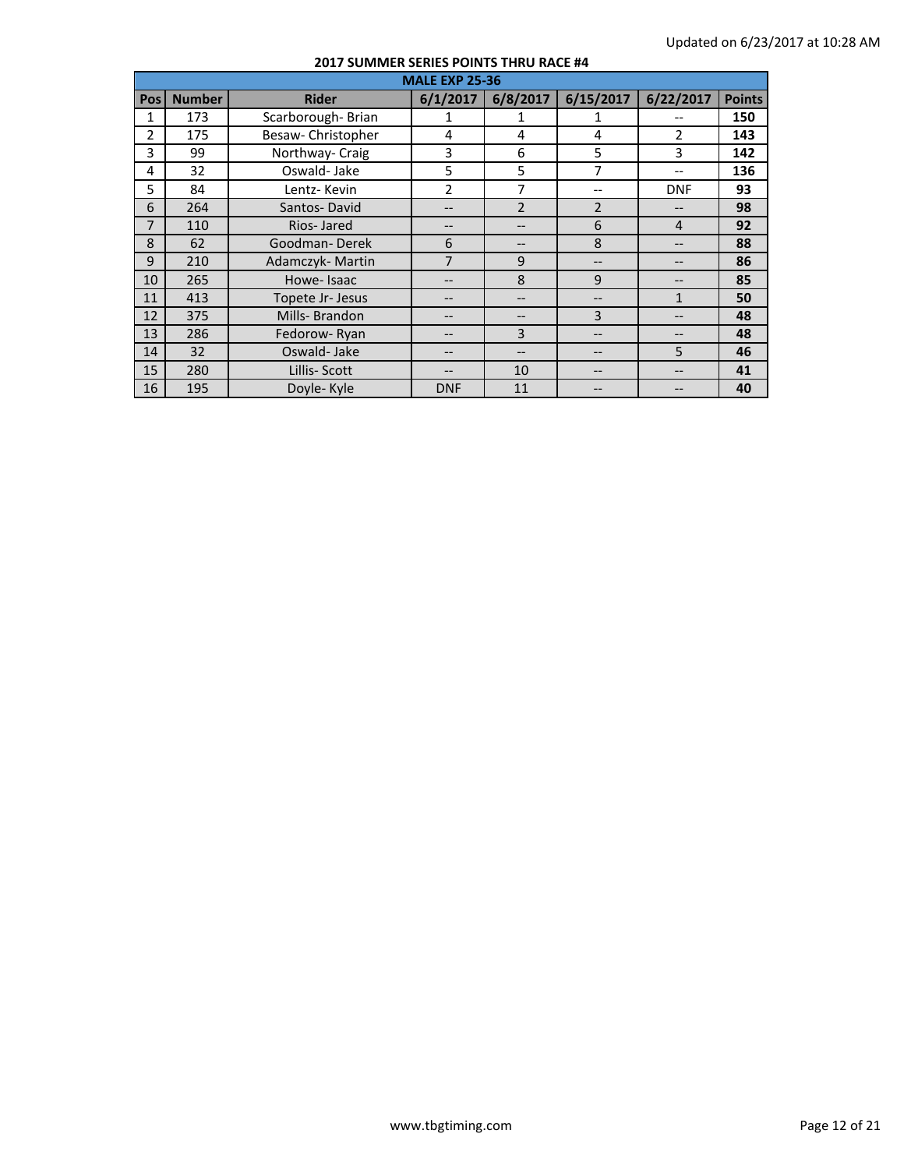|                | <b>MALE EXP 25-36</b> |                    |                |                |                   |                |               |  |  |
|----------------|-----------------------|--------------------|----------------|----------------|-------------------|----------------|---------------|--|--|
| <b>Pos</b>     | <b>Number</b>         | <b>Rider</b>       | 6/1/2017       | 6/8/2017       | 6/15/2017         | 6/22/2017      | <b>Points</b> |  |  |
| 1              | 173                   | Scarborough-Brian  |                | 1              |                   |                | 150           |  |  |
| $\overline{2}$ | 175                   | Besaw- Christopher | 4              | 4              | 4                 | $\overline{2}$ | 143           |  |  |
| 3              | 99                    | Northway- Craig    | 3              | 6              | 5                 | 3              | 142           |  |  |
| 4              | 32                    | Oswald-Jake        | 5              | 5              | 7                 | --             | 136           |  |  |
| 5              | 84                    | Lentz-Kevin        | $\overline{2}$ | 7              | $- -$             | <b>DNF</b>     | 93            |  |  |
| 6              | 264                   | Santos-David       | --             | $\overline{2}$ | $\overline{2}$    |                | 98            |  |  |
| 7              | 110                   | Rios-Jared         |                |                | 6                 | $\overline{4}$ | 92            |  |  |
| 8              | 62                    | Goodman-Derek      | 6              |                | 8                 |                | 88            |  |  |
| 9              | 210                   | Adamczyk-Martin    | 7              | 9              | $- -$             |                | 86            |  |  |
| 10             | 265                   | Howe-Isaac         |                | 8              | 9                 |                | 85            |  |  |
| 11             | 413                   | Topete Jr- Jesus   |                |                |                   | $\mathbf{1}$   | 50            |  |  |
| 12             | 375                   | Mills-Brandon      | --             |                | 3                 |                | 48            |  |  |
| 13             | 286                   | Fedorow-Ryan       |                | 3              | $- -$             |                | 48            |  |  |
| 14             | 32                    | Oswald-Jake        |                |                | $\qquad \qquad -$ | 5              | 46            |  |  |
| 15             | 280                   | Lillis-Scott       |                | 10             | --                | --             | 41            |  |  |
| 16             | 195                   | Doyle-Kyle         | <b>DNF</b>     | 11             | --                |                | 40            |  |  |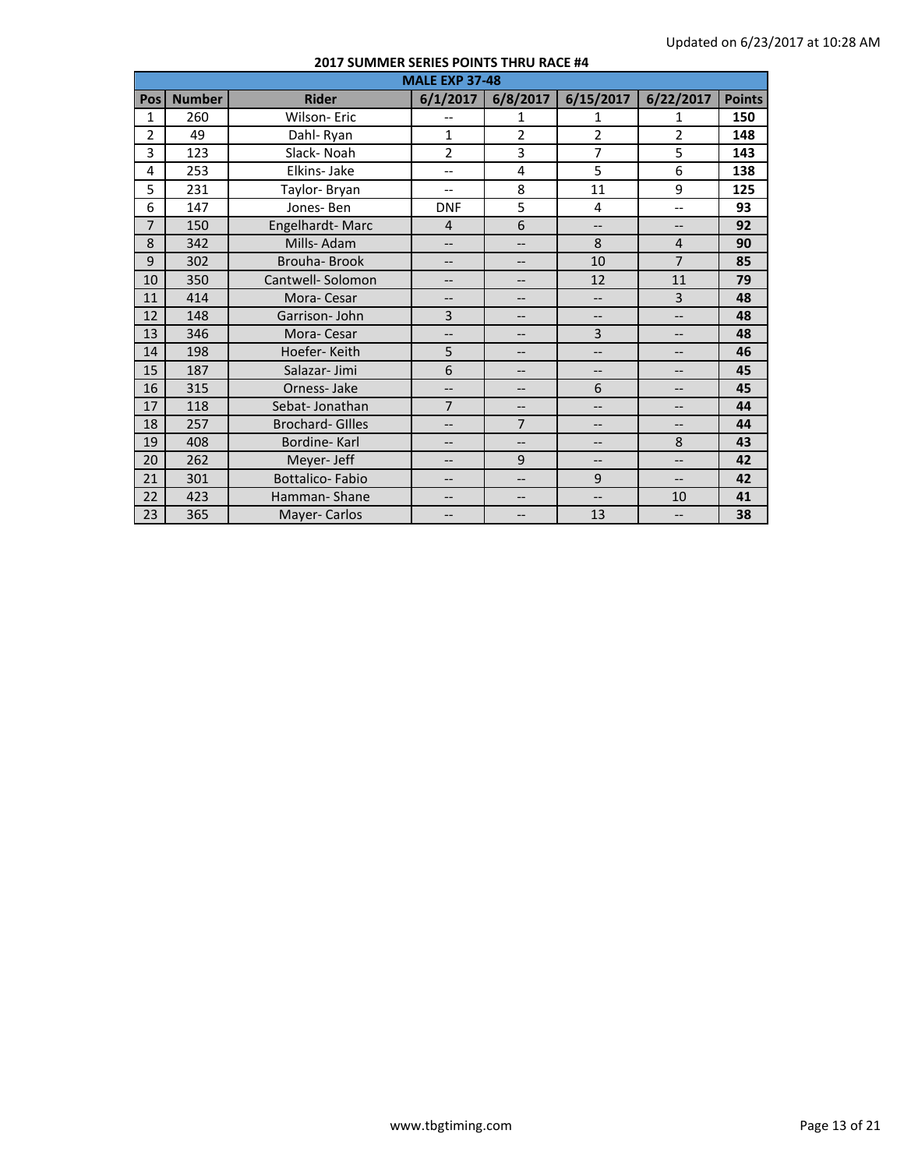|                | <b>MALE EXP 37-48</b> |                        |                          |                          |                          |                          |               |
|----------------|-----------------------|------------------------|--------------------------|--------------------------|--------------------------|--------------------------|---------------|
| Pos            | <b>Number</b>         | <b>Rider</b>           | 6/1/2017                 | 6/8/2017                 | 6/15/2017                | 6/22/2017                | <b>Points</b> |
| 1              | 260                   | Wilson-Eric            |                          | 1                        | 1                        | 1                        | 150           |
| $\overline{2}$ | 49                    | Dahl-Ryan              | $\mathbf{1}$             | $\overline{2}$           | $\overline{2}$           | $\overline{2}$           | 148           |
| 3              | 123                   | Slack-Noah             | $\overline{2}$           | 3                        | $\overline{7}$           | 5                        | 143           |
| 4              | 253                   | Elkins-Jake            | $-$                      | 4                        | 5                        | 6                        | 138           |
| 5              | 231                   | Taylor-Bryan           | $\overline{\phantom{a}}$ | 8                        | 11                       | 9                        | 125           |
| 6              | 147                   | Jones-Ben              | <b>DNF</b>               | 5                        | 4                        | $-$                      | 93            |
| $\overline{7}$ | 150                   | Engelhardt-Marc        | $\overline{4}$           | 6                        | $\overline{\phantom{a}}$ | --                       | 92            |
| 8              | 342                   | Mills-Adam             | $-$                      | $-$                      | 8                        | $\overline{4}$           | 90            |
| 9              | 302                   | <b>Brouha-Brook</b>    | $-$                      | $-$                      | 10                       | 7                        | 85            |
| 10             | 350                   | Cantwell-Solomon       | $\qquad \qquad -$        | $\qquad \qquad -$        | 12                       | 11                       | 79            |
| 11             | 414                   | Mora-Cesar             | $\overline{\phantom{a}}$ | $-$                      | $\overline{\phantom{a}}$ | $\overline{3}$           | 48            |
| 12             | 148                   | Garrison-John          | 3                        | $\qquad \qquad -$        | --                       | $-$                      | 48            |
| 13             | 346                   | Mora-Cesar             | $\overline{\phantom{a}}$ | $-$                      | 3                        | --                       | 48            |
| 14             | 198                   | Hoefer-Keith           | 5                        | $\qquad \qquad -$        | $\qquad \qquad -$        | --                       | 46            |
| 15             | 187                   | Salazar-Jimi           | 6                        | $\qquad \qquad -$        | $\overline{\phantom{a}}$ | --                       | 45            |
| 16             | 315                   | Orness-Jake            | $\qquad \qquad -$        | $\qquad \qquad -$        | 6                        | --                       | 45            |
| 17             | 118                   | Sebat-Jonathan         | $\overline{7}$           | $-$                      | $\overline{\phantom{a}}$ | --                       | 44            |
| 18             | 257                   | <b>Brochard-Gilles</b> | $\overline{\phantom{a}}$ | $\overline{7}$           | $\overline{\phantom{a}}$ | --                       | 44            |
| 19             | 408                   | Bordine-Karl           | $\qquad \qquad -$        | $\overline{\phantom{a}}$ | --                       | 8                        | 43            |
| 20             | 262                   | Meyer- Jeff            | $\qquad \qquad -$        | 9                        | $\qquad \qquad -$        | --                       | 42            |
| 21             | 301                   | <b>Bottalico-Fabio</b> | $\qquad \qquad -$        | $-$                      | 9                        | $\overline{\phantom{a}}$ | 42            |
| 22             | 423                   | Hamman-Shane           | $\overline{\phantom{m}}$ | $\overline{\phantom{m}}$ | --                       | 10                       | 41            |
| 23             | 365                   | Mayer-Carlos           | $\overline{\phantom{a}}$ | --                       | 13                       | $-$                      | 38            |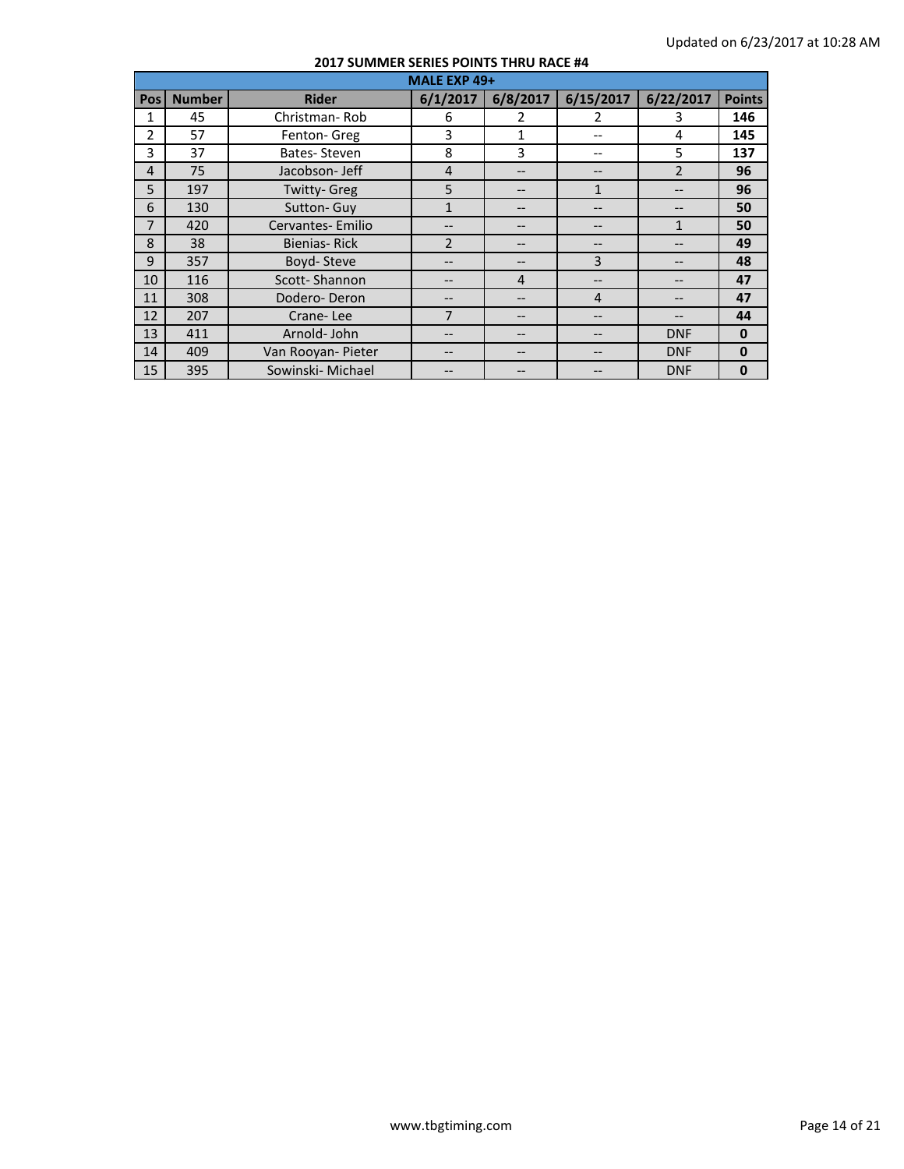|                |               |                    | MALE EXP 49+   |                |               |                |               |
|----------------|---------------|--------------------|----------------|----------------|---------------|----------------|---------------|
| <b>Pos</b>     | <b>Number</b> | <b>Rider</b>       | 6/1/2017       | 6/8/2017       | 6/15/2017     | 6/22/2017      | <b>Points</b> |
| 1              | 45            | Christman-Rob      | 6              | $\mathcal{P}$  | $\mathcal{P}$ | 3              | 146           |
| $\mathfrak{p}$ | 57            | Fenton-Greg        | 3              | $\mathbf{1}$   |               | 4              | 145           |
| 3              | 37            | Bates-Steven       | 8              | 3              | $-$           | 5              | 137           |
| $\overline{4}$ | 75            | Jacobson- Jeff     | $\overline{4}$ |                |               | $\overline{2}$ | 96            |
| 5              | 197           | Twitty- Greg       | 5              |                | $\mathbf{1}$  | --             | 96            |
| 6              | 130           | Sutton-Guy         | 1              |                |               |                | 50            |
| $\overline{7}$ | 420           | Cervantes-Emilio   |                |                |               | 1              | 50            |
| 8              | 38            | Bienias-Rick       | $\overline{2}$ |                |               |                | 49            |
| 9              | 357           | Boyd-Steve         | --             |                | 3             |                | 48            |
| 10             | 116           | Scott-Shannon      | --             | $\overline{4}$ | --            |                | 47            |
| 11             | 308           | Dodero-Deron       |                |                | 4             |                | 47            |
| 12             | 207           | Crane-Lee          | 7              |                |               | --             | 44            |
| 13             | 411           | Arnold-John        | --             |                |               | <b>DNF</b>     | $\mathbf{0}$  |
| 14             | 409           | Van Rooyan- Pieter | $- -$          |                | --            | <b>DNF</b>     | $\mathbf{0}$  |
| 15             | 395           | Sowinski- Michael  |                |                |               | <b>DNF</b>     | $\mathbf 0$   |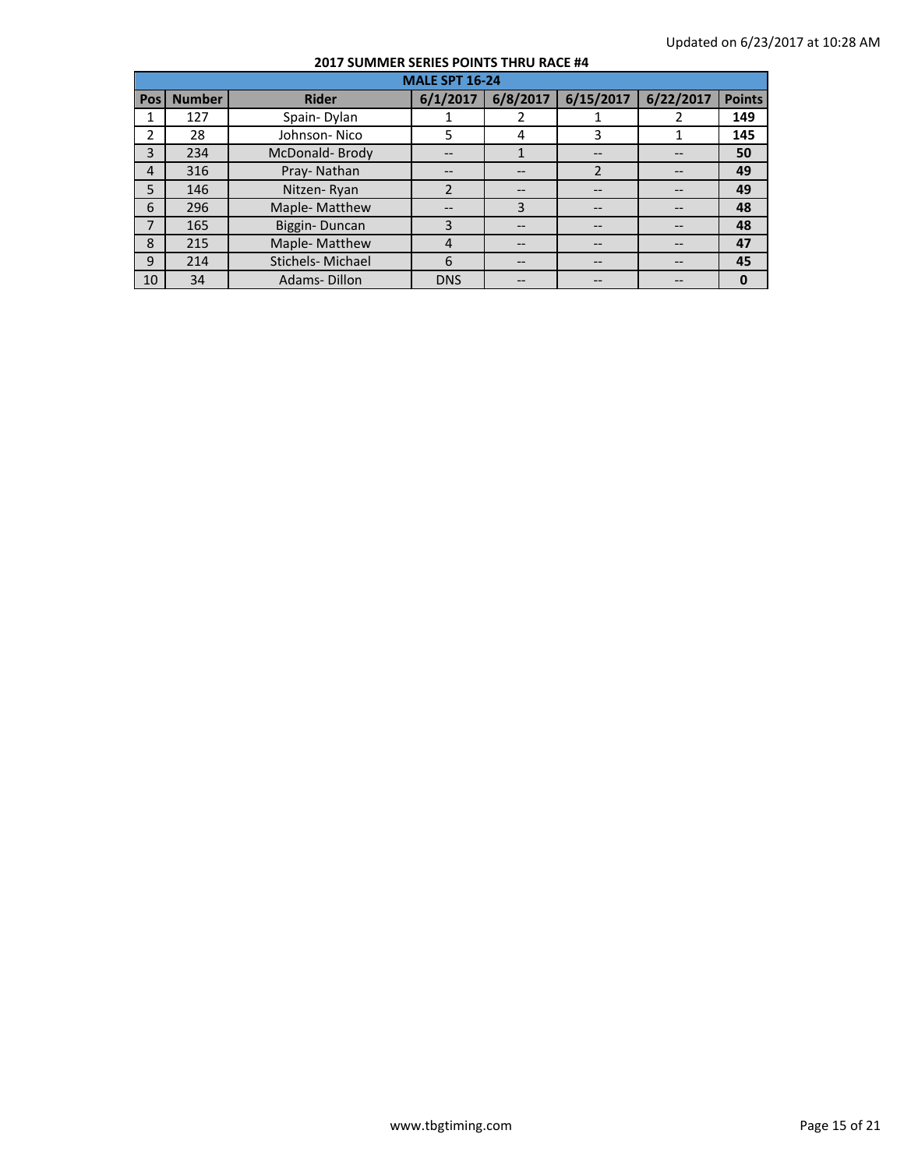|                | <b>MALE SPT 16-24</b> |                  |                          |          |                   |           |               |  |  |
|----------------|-----------------------|------------------|--------------------------|----------|-------------------|-----------|---------------|--|--|
| Pos            | <b>Number</b>         | <b>Rider</b>     | 6/1/2017                 | 6/8/2017 | 6/15/2017         | 6/22/2017 | <b>Points</b> |  |  |
| 1              | 127                   | Spain-Dylan      |                          |          |                   |           | 149           |  |  |
| 2              | 28                    | Johnson-Nico     | 5                        | 4        | 3                 |           | 145           |  |  |
| 3              | 234                   | McDonald-Brody   | --                       |          | --                |           | 50            |  |  |
| $\overline{4}$ | 316                   | Pray-Nathan      | --                       |          |                   |           | 49            |  |  |
| 5              | 146                   | Nitzen-Ryan      | $\overline{\phantom{a}}$ |          | $\qquad \qquad -$ |           | 49            |  |  |
| 6              | 296                   | Maple-Matthew    | --                       | 3        | $\qquad \qquad -$ |           | 48            |  |  |
| $\overline{7}$ | 165                   | Biggin-Duncan    | 3                        |          | --                |           | 48            |  |  |
| 8              | 215                   | Maple- Matthew   | 4                        |          |                   |           | 47            |  |  |
| 9              | 214                   | Stichels-Michael | 6                        |          |                   |           | 45            |  |  |
| 10             | 34                    | Adams-Dillon     | <b>DNS</b>               |          |                   |           | $\bf{0}$      |  |  |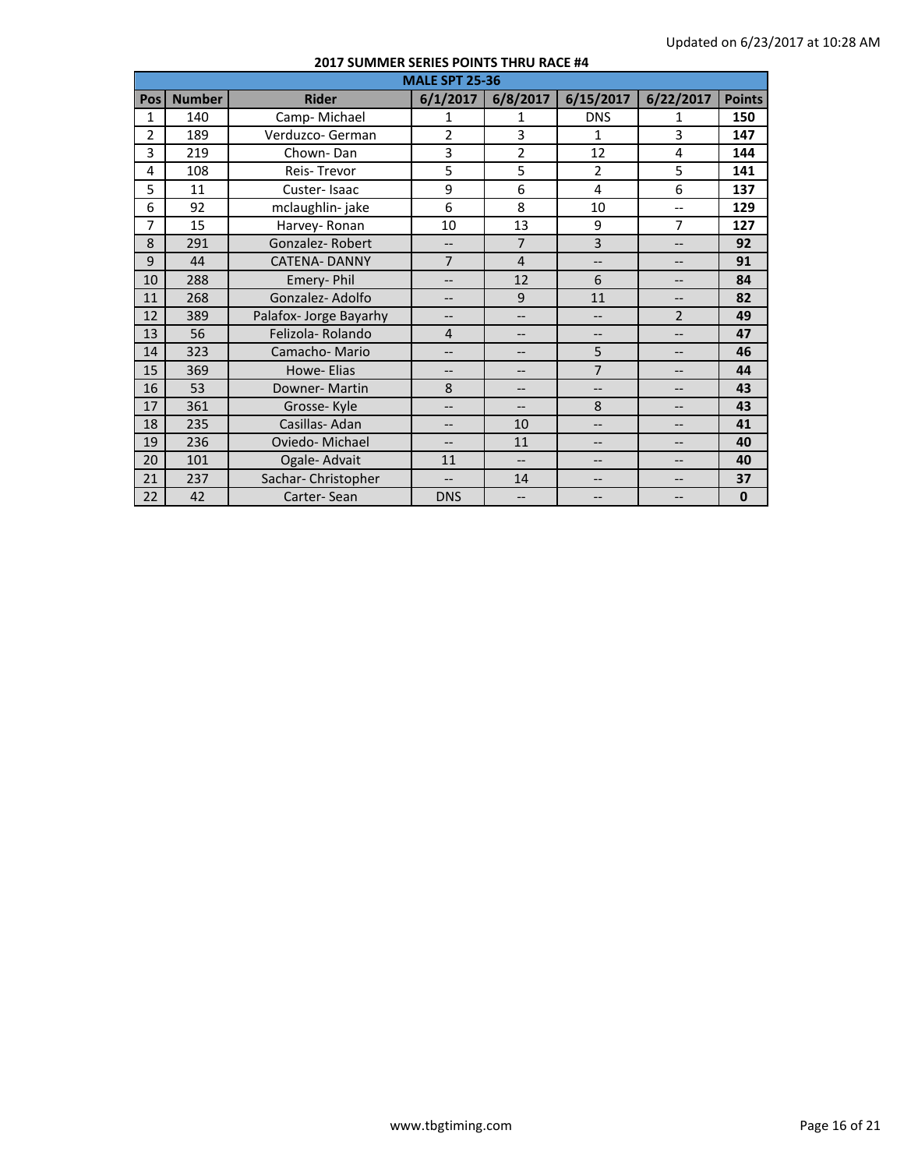|                | <b>MALE SPT 25-36</b> |                        |                          |                          |                          |                |               |
|----------------|-----------------------|------------------------|--------------------------|--------------------------|--------------------------|----------------|---------------|
| Pos            | <b>Number</b>         | <b>Rider</b>           | 6/1/2017                 | 6/8/2017                 | 6/15/2017                | 6/22/2017      | <b>Points</b> |
| 1              | 140                   | Camp-Michael           | 1                        | 1                        | <b>DNS</b>               | 1              | 150           |
| $\overline{2}$ | 189                   | Verduzco- German       | $\overline{2}$           | 3                        | $\mathbf{1}$             | 3              | 147           |
| 3              | 219                   | Chown-Dan              | 3                        | $\overline{2}$           | 12                       | 4              | 144           |
| 4              | 108                   | Reis-Trevor            | 5                        | 5                        | $\overline{2}$           | 5              | 141           |
| 5              | 11                    | Custer-Isaac           | 9                        | 6                        | 4                        | 6              | 137           |
| 6              | 92                    | mclaughlin-jake        | 6                        | 8                        | 10                       | $-$            | 129           |
| 7              | 15                    | Harvey-Ronan           | 10                       | 13                       | 9                        | 7              | 127           |
| 8              | 291                   | Gonzalez-Robert        | $\overline{\phantom{a}}$ | $\overline{7}$           | $\overline{3}$           | --             | 92            |
| 9              | 44                    | <b>CATENA-DANNY</b>    | $\overline{7}$           | $\overline{4}$           | $\overline{\phantom{0}}$ | $-$            | 91            |
| 10             | 288                   | Emery-Phil             | $\overline{\phantom{a}}$ | 12                       | 6                        | --             | 84            |
| 11             | 268                   | Gonzalez-Adolfo        | $\overline{\phantom{a}}$ | 9                        | 11                       | --             | 82            |
| 12             | 389                   | Palafox- Jorge Bayarhy | $-$                      | $\overline{a}$           | $\overline{\phantom{0}}$ | $\overline{2}$ | 49            |
| 13             | 56                    | Felizola-Rolando       | $\overline{4}$           | $-$                      | $\overline{\phantom{a}}$ | --             | 47            |
| 14             | 323                   | Camacho-Mario          | $\overline{\phantom{a}}$ | --                       | 5                        | --             | 46            |
| 15             | 369                   | Howe- Elias            | $-$                      | $-$                      | $\overline{7}$           | --             | 44            |
| 16             | 53                    | Downer-Martin          | 8                        | $\qquad \qquad -$        | $\overline{\phantom{a}}$ | --             | 43            |
| 17             | 361                   | Grosse-Kyle            | $\overline{\phantom{a}}$ | $\overline{\phantom{a}}$ | 8                        | --             | 43            |
| 18             | 235                   | Casillas-Adan          | $\overline{\phantom{a}}$ | 10                       | $\overline{\phantom{a}}$ | --             | 41            |
| 19             | 236                   | Oviedo-Michael         | $-$                      | 11                       | $-$                      | --             | 40            |
| 20             | 101                   | Ogale- Advait          | 11                       | $\overline{\phantom{a}}$ | $\qquad \qquad -$        | --             | 40            |
| 21             | 237                   | Sachar-Christopher     | $\overline{\phantom{0}}$ | 14                       | $-$                      | --             | 37            |
| 22             | 42                    | Carter-Sean            | <b>DNS</b>               |                          | --                       |                | $\mathbf 0$   |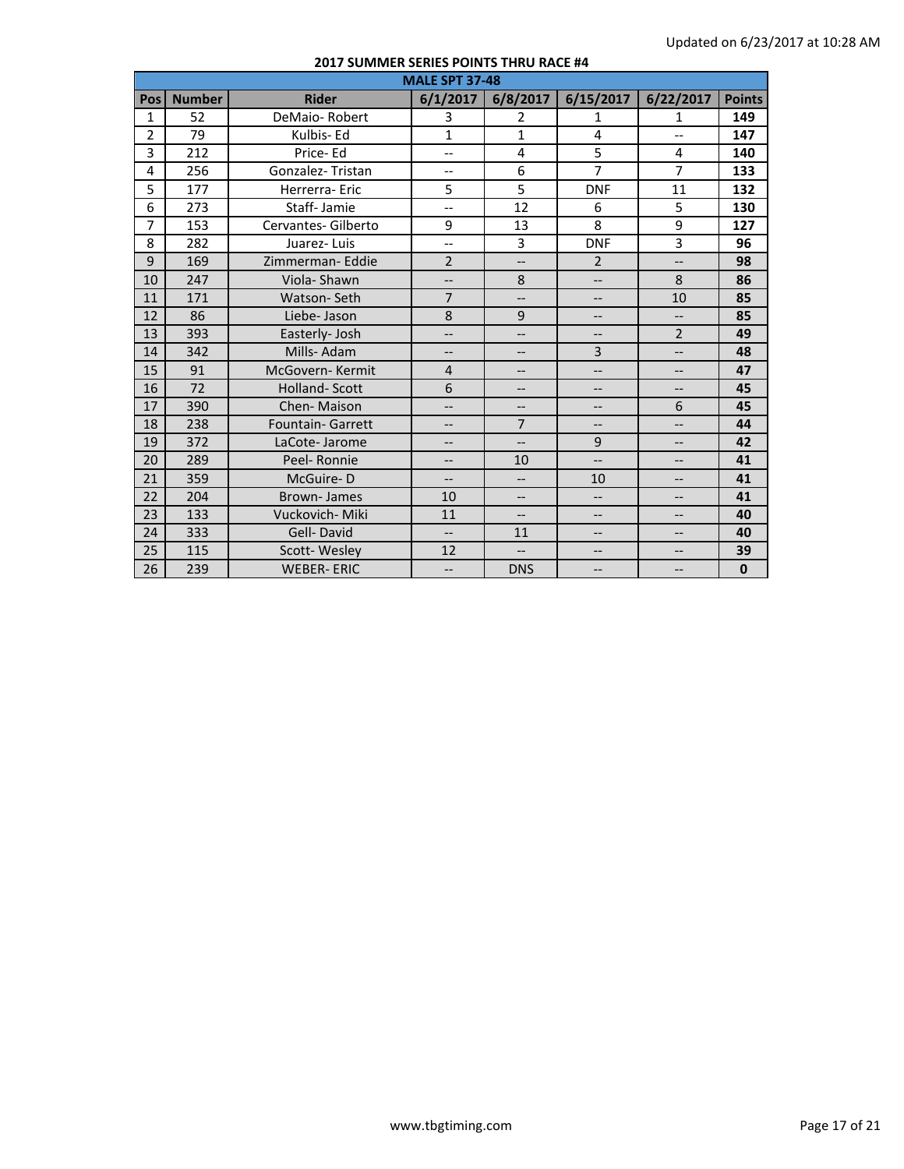|                |               |                          | <b>MALE SPT 37-48</b>    |                          |                          |                          |               |
|----------------|---------------|--------------------------|--------------------------|--------------------------|--------------------------|--------------------------|---------------|
| Pos            | <b>Number</b> | <b>Rider</b>             | 6/1/2017                 | 6/8/2017                 | 6/15/2017                | 6/22/2017                | <b>Points</b> |
| $\mathbf{1}$   | 52            | DeMaio-Robert            | 3                        | 2                        | $\mathbf{1}$             | $\mathbf{1}$             | 149           |
| $\overline{2}$ | 79            | Kulbis-Ed                | $\mathbf{1}$             | $\mathbf{1}$             | 4                        | $-$                      | 147           |
| 3              | 212           | Price-Ed                 | $\overline{\phantom{0}}$ | 4                        | 5                        | 4                        | 140           |
| 4              | 256           | Gonzalez-Tristan         | $-$                      | 6                        | $\overline{7}$           | $\overline{7}$           | 133           |
| 5              | 177           | Herrerra-Eric            | 5                        | 5                        | <b>DNF</b>               | 11                       | 132           |
| 6              | 273           | Staff-Jamie              | $\overline{\phantom{a}}$ | 12                       | 6                        | 5                        | 130           |
| $\overline{7}$ | 153           | Cervantes- Gilberto      | 9                        | 13                       | 8                        | 9                        | 127           |
| 8              | 282           | Juarez-Luis              | $\overline{a}$           | 3                        | <b>DNF</b>               | $\overline{3}$           | 96            |
| 9              | 169           | Zimmerman-Eddie          | $\overline{2}$           | <u></u>                  | $\overline{2}$           | $\overline{\phantom{a}}$ | 98            |
| 10             | 247           | Viola-Shawn              | $-$                      | 8                        | $\overline{\phantom{0}}$ | 8                        | 86            |
| 11             | 171           | Watson-Seth              | $\overline{7}$           | $\overline{\phantom{a}}$ | --                       | 10                       | 85            |
| 12             | 86            | Liebe-Jason              | 8                        | 9                        | --                       | --                       | 85            |
| 13             | 393           | Easterly-Josh            | $\overline{\phantom{a}}$ | $\overline{\phantom{a}}$ | $\overline{\phantom{a}}$ | $\overline{2}$           | 49            |
| 14             | 342           | Mills-Adam               | $-$                      | $-$                      | $\overline{3}$           | $\overline{\phantom{a}}$ | 48            |
| 15             | 91            | McGovern-Kermit          | $\overline{4}$           | $\overline{\phantom{a}}$ | $\overline{\phantom{a}}$ | $-$                      | 47            |
| 16             | 72            | <b>Holland-Scott</b>     | 6                        | $-$                      | $-$                      | --                       | 45            |
| 17             | 390           | Chen-Maison              | $\overline{\phantom{a}}$ | $\overline{\phantom{a}}$ | $\overline{\phantom{m}}$ | 6                        | 45            |
| 18             | 238           | <b>Fountain- Garrett</b> | $\overline{\phantom{a}}$ | $\overline{7}$           | --                       | --                       | 44            |
| 19             | 372           | LaCote-Jarome            | $\overline{\phantom{a}}$ | $-$                      | 9                        | --                       | 42            |
| 20             | 289           | Peel-Ronnie              | $\overline{\phantom{a}}$ | 10                       | $\overline{\phantom{a}}$ | $-$                      | 41            |
| 21             | 359           | McGuire-D                | $\overline{\phantom{a}}$ | $-$                      | 10                       | --                       | 41            |
| 22             | 204           | <b>Brown-James</b>       | 10                       | $-$                      | $\overline{\phantom{a}}$ | --                       | 41            |
| 23             | 133           | Vuckovich-Miki           | 11                       | $\overline{\phantom{a}}$ | $\overline{\phantom{a}}$ | --                       | 40            |
| 24             | 333           | Gell-David               | $\overline{\phantom{a}}$ | 11                       | --                       | $\overline{\phantom{a}}$ | 40            |
| 25             | 115           | Scott-Wesley             | 12                       | $\overline{\phantom{a}}$ | $-$                      | --                       | 39            |
| 26             | 239           | <b>WEBER-ERIC</b>        | $\overline{\phantom{a}}$ | <b>DNS</b>               | $\overline{\phantom{a}}$ | --                       | $\mathbf{0}$  |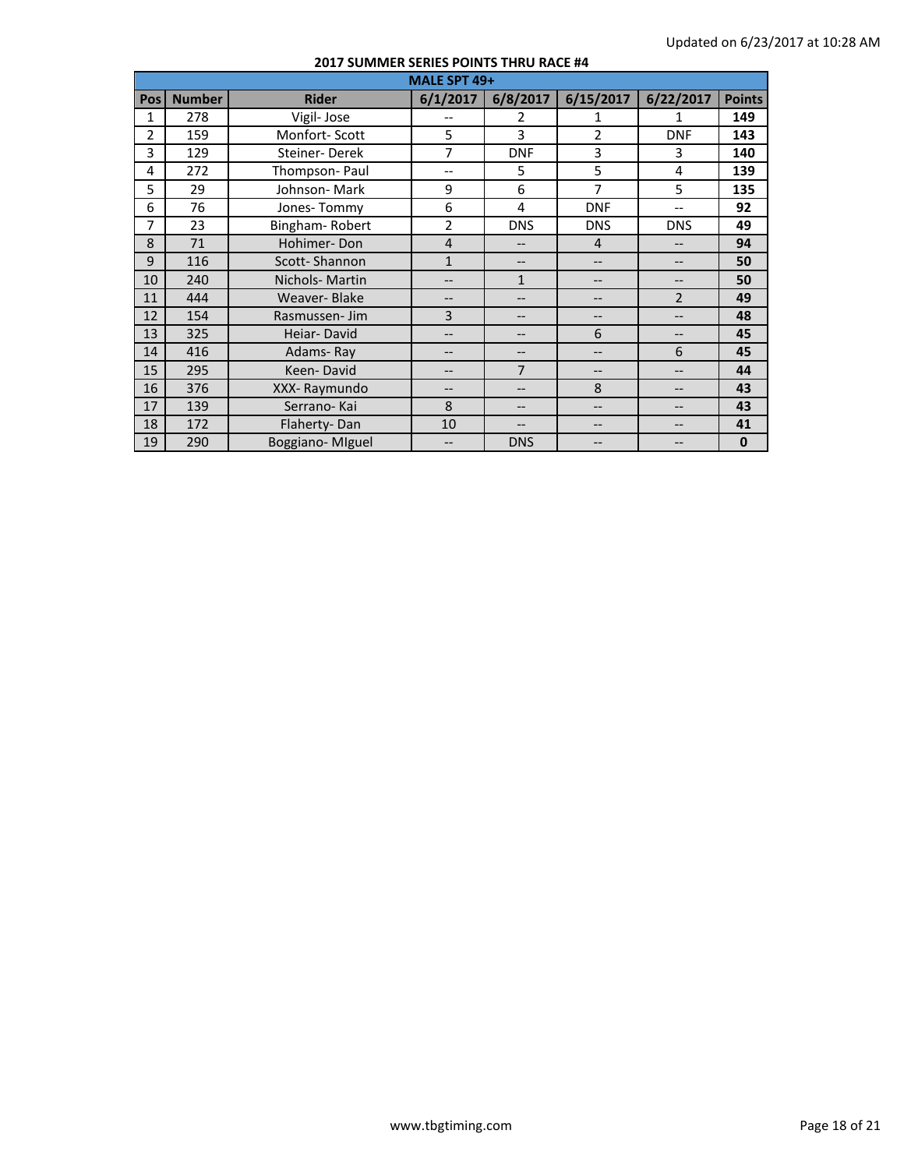|     | MALE SPT 49+  |                 |                |                          |                |                |               |  |  |
|-----|---------------|-----------------|----------------|--------------------------|----------------|----------------|---------------|--|--|
| Pos | <b>Number</b> | <b>Rider</b>    | 6/1/2017       | 6/8/2017                 | 6/15/2017      | 6/22/2017      | <b>Points</b> |  |  |
| 1   | 278           | Vigil-Jose      |                | $\overline{\phantom{a}}$ | 1              | 1              | 149           |  |  |
| 2   | 159           | Monfort-Scott   | 5              | 3                        | 2              | <b>DNF</b>     | 143           |  |  |
| 3   | 129           | Steiner-Derek   | $\overline{7}$ | <b>DNF</b>               | 3              | 3              | 140           |  |  |
| 4   | 272           | Thompson-Paul   | $- -$          | 5                        | 5              | 4              | 139           |  |  |
| 5   | 29            | Johnson-Mark    | 9              | 6                        | 7              | 5              | 135           |  |  |
| 6   | 76            | Jones-Tommy     | 6              | 4                        | <b>DNF</b>     | $-$            | 92            |  |  |
| 7   | 23            | Bingham-Robert  | $\overline{2}$ | <b>DNS</b>               | <b>DNS</b>     | <b>DNS</b>     | 49            |  |  |
| 8   | 71            | Hohimer-Don     | $\overline{4}$ | $-$                      | $\overline{4}$ |                | 94            |  |  |
| 9   | 116           | Scott-Shannon   | $\mathbf{1}$   | --                       | --             |                | 50            |  |  |
| 10  | 240           | Nichols-Martin  | $\overline{a}$ | $\mathbf{1}$             | --             | --             | 50            |  |  |
| 11  | 444           | Weaver-Blake    | --             | --                       | --             | $\overline{2}$ | 49            |  |  |
| 12  | 154           | Rasmussen-Jim   | 3              | $-$                      | --             |                | 48            |  |  |
| 13  | 325           | Heiar-David     | $-$            | $-$                      | 6              | --             | 45            |  |  |
| 14  | 416           | Adams-Ray       | --             | --                       | --             | 6              | 45            |  |  |
| 15  | 295           | Keen-David      | --             | $\overline{7}$           | --             | --             | 44            |  |  |
| 16  | 376           | XXX-Raymundo    | --             | --                       | 8              |                | 43            |  |  |
| 17  | 139           | Serrano-Kai     | 8              | $-$                      | --             |                | 43            |  |  |
| 18  | 172           | Flaherty-Dan    | 10             | $-$                      | --             | --             | 41            |  |  |
| 19  | 290           | Boggiano-MIguel |                | <b>DNS</b>               |                |                | $\mathbf 0$   |  |  |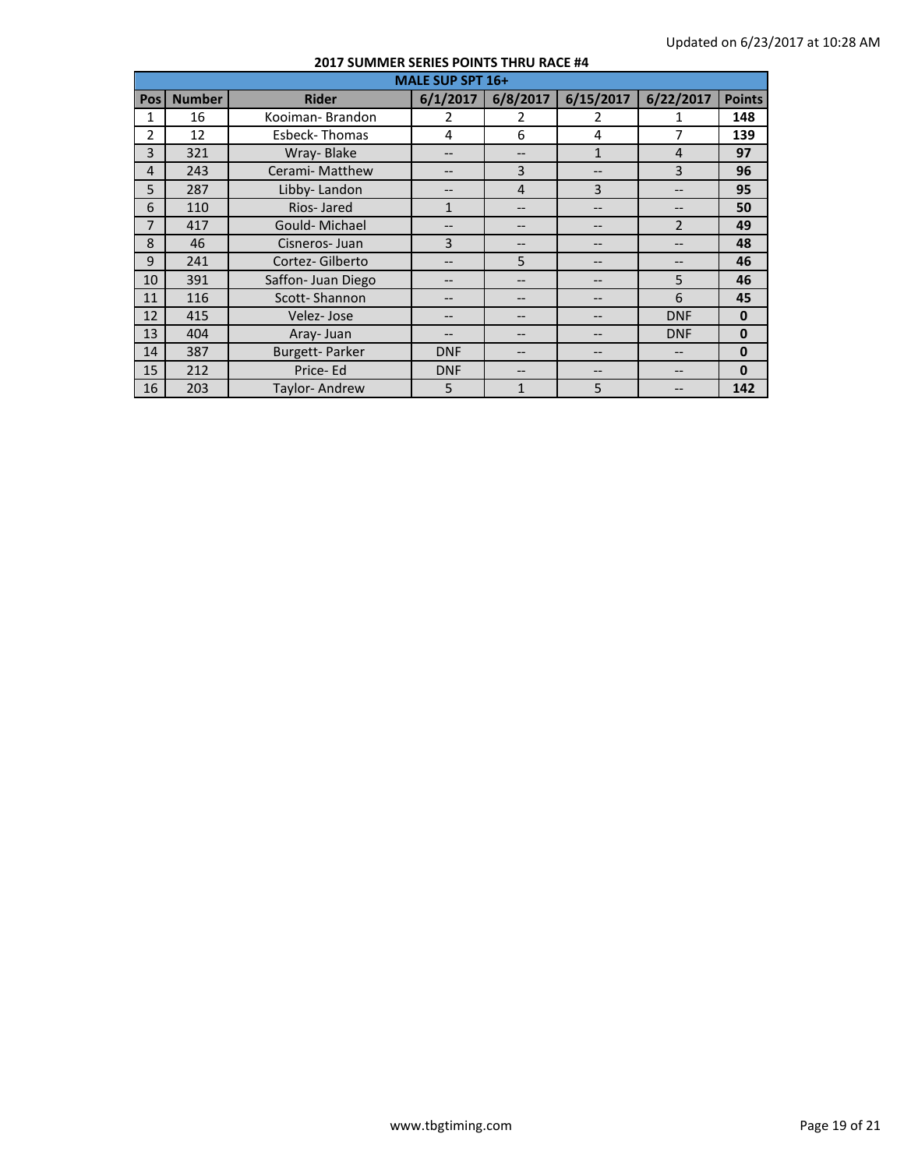|                |               | <b>MALE SUP SPT 16+</b><br>6/8/2017<br>6/15/2017<br>6/22/2017<br>6/1/2017<br><b>Rider</b><br>Kooiman-Brandon<br>2<br>2<br>2<br>6<br>7<br><b>Esbeck-Thomas</b><br>4<br>4<br>Wray-Blake<br>$\mathbf{1}$<br>$\overline{4}$<br>--<br>Cerami- Matthew<br>3<br>3<br>--<br>--<br>3<br>Libby-Landon<br>4<br>--<br>Rios-Jared<br>$\mathbf{1}$<br>--<br>--<br>Gould-Michael<br>$\overline{\mathcal{L}}$<br>--<br>--<br>3<br>Cisneros-Juan<br>-- |            |    |    |            |               |
|----------------|---------------|---------------------------------------------------------------------------------------------------------------------------------------------------------------------------------------------------------------------------------------------------------------------------------------------------------------------------------------------------------------------------------------------------------------------------------------|------------|----|----|------------|---------------|
| Pos            | <b>Number</b> |                                                                                                                                                                                                                                                                                                                                                                                                                                       |            |    |    |            | <b>Points</b> |
| 1              | 16            |                                                                                                                                                                                                                                                                                                                                                                                                                                       |            |    |    |            | 148           |
| 2              | 12            |                                                                                                                                                                                                                                                                                                                                                                                                                                       |            |    |    |            | 139           |
| 3              | 321           |                                                                                                                                                                                                                                                                                                                                                                                                                                       |            |    |    |            | 97            |
| $\overline{4}$ | 243           |                                                                                                                                                                                                                                                                                                                                                                                                                                       |            |    |    |            | 96            |
| 5              | 287           |                                                                                                                                                                                                                                                                                                                                                                                                                                       |            |    |    |            | 95            |
| 6              | 110           |                                                                                                                                                                                                                                                                                                                                                                                                                                       |            |    |    |            | 50            |
| $\overline{7}$ | 417           |                                                                                                                                                                                                                                                                                                                                                                                                                                       |            |    |    |            | 49            |
| 8              | 46            |                                                                                                                                                                                                                                                                                                                                                                                                                                       |            |    |    |            | 48            |
| 9              | 241           | Cortez-Gilberto                                                                                                                                                                                                                                                                                                                                                                                                                       |            | 5  | -- |            | 46            |
| 10             | 391           | Saffon- Juan Diego                                                                                                                                                                                                                                                                                                                                                                                                                    |            |    |    | 5          | 46            |
| 11             | 116           | Scott-Shannon                                                                                                                                                                                                                                                                                                                                                                                                                         | --         |    | -- | 6          | 45            |
| 12             | 415           | Velez-Jose                                                                                                                                                                                                                                                                                                                                                                                                                            | --         |    |    | <b>DNF</b> | $\bf{0}$      |
| 13             | 404           | Aray-Juan                                                                                                                                                                                                                                                                                                                                                                                                                             |            |    | -- | <b>DNF</b> | $\mathbf 0$   |
| 14             | 387           | <b>Burgett-Parker</b>                                                                                                                                                                                                                                                                                                                                                                                                                 | <b>DNF</b> |    | -- | --         | $\mathbf{0}$  |
| 15             | 212           | Price-Ed                                                                                                                                                                                                                                                                                                                                                                                                                              | <b>DNF</b> | -- | -- | --         | $\mathbf{0}$  |
| 16             | 203           | Taylor-Andrew                                                                                                                                                                                                                                                                                                                                                                                                                         | 5          | 1  | 5  |            | 142           |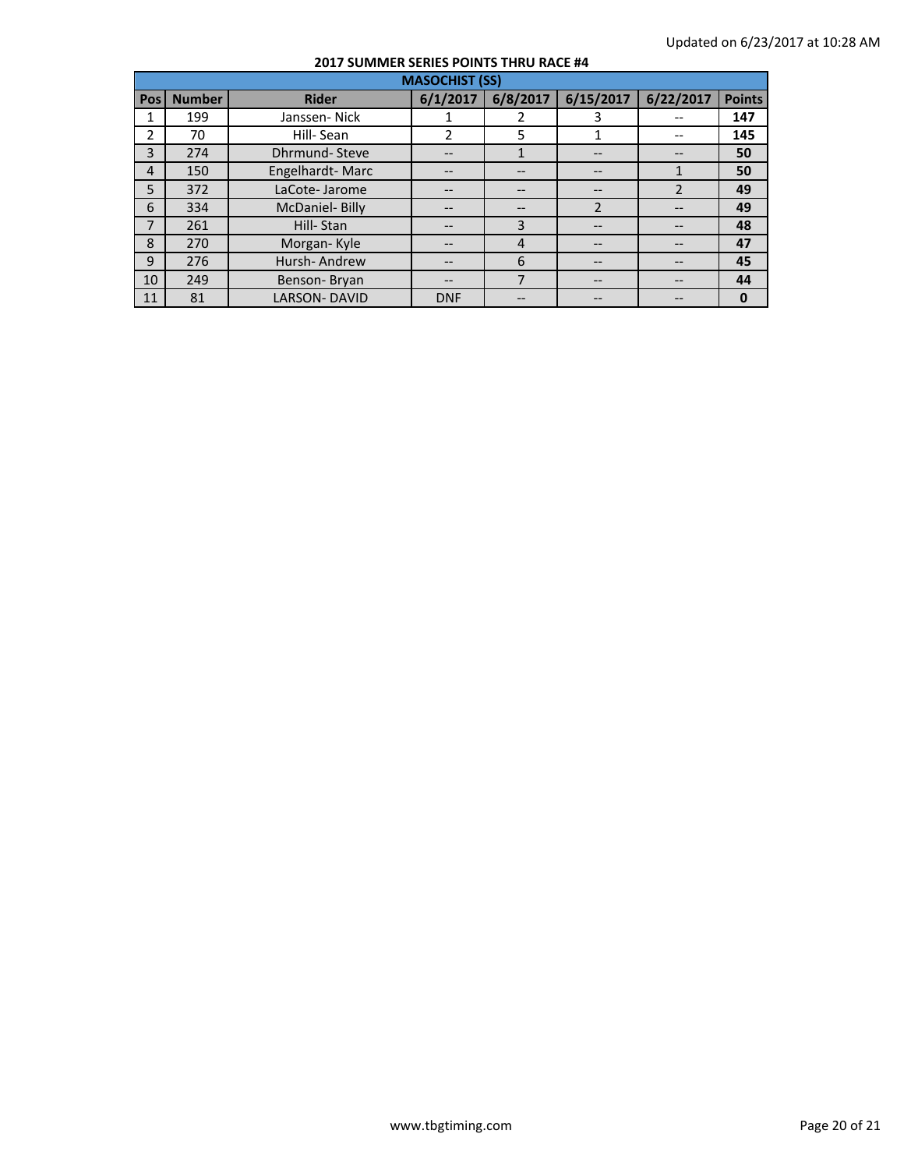|              | <b>MASOCHIST (SS)</b> |                       |            |          |                |               |               |  |
|--------------|-----------------------|-----------------------|------------|----------|----------------|---------------|---------------|--|
| <b>Pos</b>   | <b>Number</b>         | <b>Rider</b>          | 6/1/2017   | 6/8/2017 | 6/15/2017      | 6/22/2017     | <b>Points</b> |  |
|              | 199                   | Janssen-Nick          |            | 2        |                |               | 147           |  |
| 2            | 70                    | Hill-Sean             | 2          | 5        | 1              |               | 145           |  |
| 3            | 274                   | <b>Dhrmund-Steve</b>  |            | 1        |                |               | 50            |  |
| 4            | 150                   | Engelhardt-Marc       | --         |          | --             |               | 50            |  |
| 5            | 372                   | LaCote-Jarome         |            |          | --             | $\mathcal{P}$ | 49            |  |
| 6            | 334                   | <b>McDaniel-Billy</b> |            |          | $\overline{2}$ |               | 49            |  |
| 7            | 261                   | Hill-Stan             |            | 3        | --             |               | 48            |  |
| 8            | 270                   | Morgan-Kyle           |            | 4        |                |               | 47            |  |
| $\mathbf{q}$ | 276                   | Hursh-Andrew          |            | 6        |                |               | 45            |  |
| 10           | 249                   | Benson-Bryan          |            | 7        | --             |               | 44            |  |
| 11           | 81                    | <b>LARSON-DAVID</b>   | <b>DNF</b> | --       | --             |               | $\bf{0}$      |  |